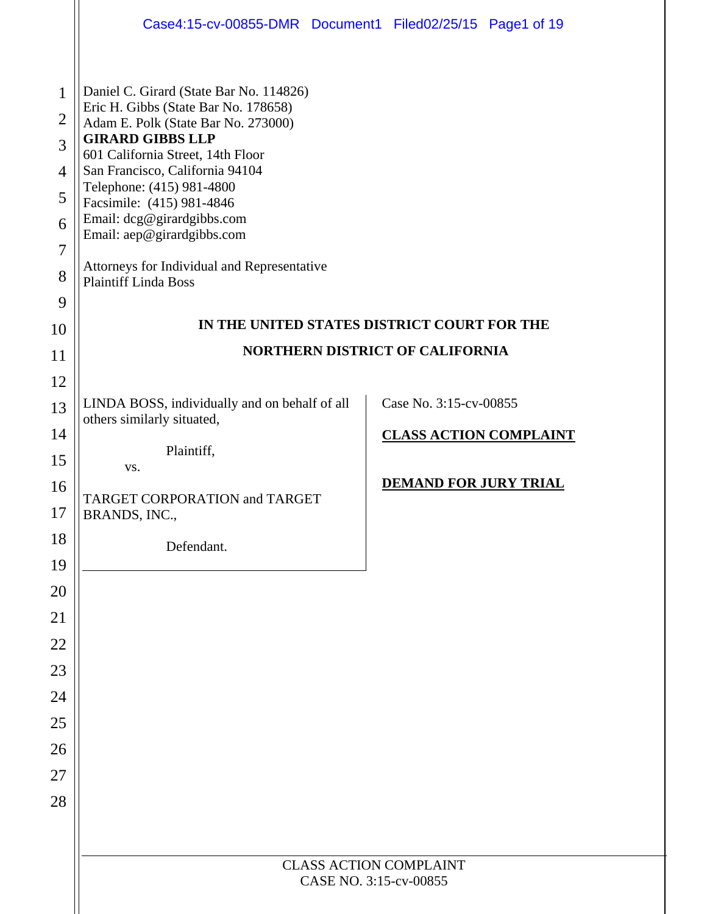|                                                                                | Case4:15-cv-00855-DMR Document1 Filed02/25/15 Page1 of 19                                                                                                                                                                                                                                                                                                                                                                     |  |                                                         |  |  |  |  |
|--------------------------------------------------------------------------------|-------------------------------------------------------------------------------------------------------------------------------------------------------------------------------------------------------------------------------------------------------------------------------------------------------------------------------------------------------------------------------------------------------------------------------|--|---------------------------------------------------------|--|--|--|--|
| $\mathbf{1}$<br>$\overline{2}$<br>3<br>$\overline{4}$<br>5<br>6<br>7<br>8<br>9 | Daniel C. Girard (State Bar No. 114826)<br>Eric H. Gibbs (State Bar No. 178658)<br>Adam E. Polk (State Bar No. 273000)<br><b>GIRARD GIBBS LLP</b><br>601 California Street, 14th Floor<br>San Francisco, California 94104<br>Telephone: (415) 981-4800<br>Facsimile: (415) 981-4846<br>Email: dcg@girardgibbs.com<br>Email: aep@girardgibbs.com<br>Attorneys for Individual and Representative<br><b>Plaintiff Linda Boss</b> |  |                                                         |  |  |  |  |
| 10                                                                             | IN THE UNITED STATES DISTRICT COURT FOR THE<br><b>NORTHERN DISTRICT OF CALIFORNIA</b>                                                                                                                                                                                                                                                                                                                                         |  |                                                         |  |  |  |  |
| 11<br>12                                                                       |                                                                                                                                                                                                                                                                                                                                                                                                                               |  |                                                         |  |  |  |  |
| 13<br>14<br>15                                                                 | LINDA BOSS, individually and on behalf of all<br>others similarly situated,<br>Plaintiff,<br>VS.                                                                                                                                                                                                                                                                                                                              |  | Case No. 3:15-cv-00855<br><b>CLASS ACTION COMPLAINT</b> |  |  |  |  |
| 16<br>17                                                                       | TARGET CORPORATION and TARGET<br>BRANDS, INC.                                                                                                                                                                                                                                                                                                                                                                                 |  | <b>DEMAND FOR JURY TRIAL</b>                            |  |  |  |  |
| 18<br>19                                                                       | Defendant.                                                                                                                                                                                                                                                                                                                                                                                                                    |  |                                                         |  |  |  |  |
| 20                                                                             |                                                                                                                                                                                                                                                                                                                                                                                                                               |  |                                                         |  |  |  |  |
| 21                                                                             |                                                                                                                                                                                                                                                                                                                                                                                                                               |  |                                                         |  |  |  |  |
| 22                                                                             |                                                                                                                                                                                                                                                                                                                                                                                                                               |  |                                                         |  |  |  |  |
| 23                                                                             |                                                                                                                                                                                                                                                                                                                                                                                                                               |  |                                                         |  |  |  |  |
| 24                                                                             |                                                                                                                                                                                                                                                                                                                                                                                                                               |  |                                                         |  |  |  |  |
| 25                                                                             |                                                                                                                                                                                                                                                                                                                                                                                                                               |  |                                                         |  |  |  |  |
| 26                                                                             |                                                                                                                                                                                                                                                                                                                                                                                                                               |  |                                                         |  |  |  |  |
| 27                                                                             |                                                                                                                                                                                                                                                                                                                                                                                                                               |  |                                                         |  |  |  |  |
| 28                                                                             |                                                                                                                                                                                                                                                                                                                                                                                                                               |  |                                                         |  |  |  |  |
|                                                                                |                                                                                                                                                                                                                                                                                                                                                                                                                               |  |                                                         |  |  |  |  |
|                                                                                | <b>CLASS ACTION COMPLAINT</b><br>CASE NO. 3:15-cv-00855                                                                                                                                                                                                                                                                                                                                                                       |  |                                                         |  |  |  |  |
|                                                                                |                                                                                                                                                                                                                                                                                                                                                                                                                               |  |                                                         |  |  |  |  |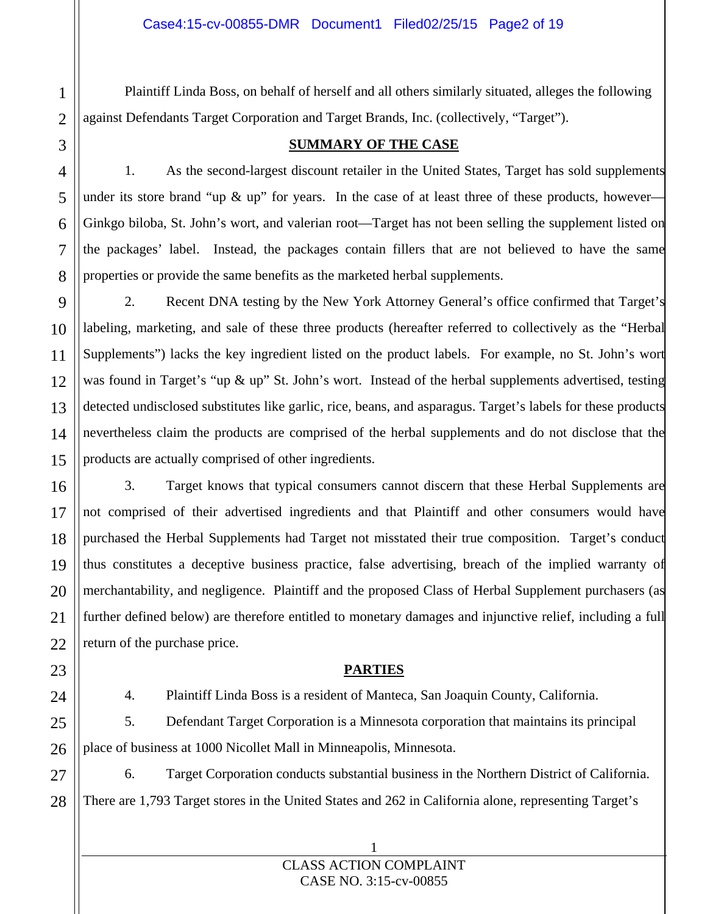Plaintiff Linda Boss, on behalf of herself and all others similarly situated, alleges the following against Defendants Target Corporation and Target Brands, Inc. (collectively, "Target").

# **SUMMARY OF THE CASE**

1. As the second-largest discount retailer in the United States, Target has sold supplements under its store brand "up  $\&$  up" for years. In the case of at least three of these products, however-Ginkgo biloba, St. John's wort, and valerian root—Target has not been selling the supplement listed on the packages' label. Instead, the packages contain fillers that are not believed to have the same properties or provide the same benefits as the marketed herbal supplements.

2. Recent DNA testing by the New York Attorney General's office confirmed that Target's labeling, marketing, and sale of these three products (hereafter referred to collectively as the "Herbal Supplements") lacks the key ingredient listed on the product labels. For example, no St. John's wort was found in Target's "up & up" St. John's wort. Instead of the herbal supplements advertised, testing detected undisclosed substitutes like garlic, rice, beans, and asparagus. Target's labels for these products nevertheless claim the products are comprised of the herbal supplements and do not disclose that the products are actually comprised of other ingredients.

3. Target knows that typical consumers cannot discern that these Herbal Supplements are not comprised of their advertised ingredients and that Plaintiff and other consumers would have purchased the Herbal Supplements had Target not misstated their true composition. Target's conduct thus constitutes a deceptive business practice, false advertising, breach of the implied warranty of merchantability, and negligence. Plaintiff and the proposed Class of Herbal Supplement purchasers (as further defined below) are therefore entitled to monetary damages and injunctive relief, including a full return of the purchase price.

# **PARTIES**

4. Plaintiff Linda Boss is a resident of Manteca, San Joaquin County, California.

5. Defendant Target Corporation is a Minnesota corporation that maintains its principal place of business at 1000 Nicollet Mall in Minneapolis, Minnesota.

6. Target Corporation conducts substantial business in the Northern District of California. There are 1,793 Target stores in the United States and 262 in California alone, representing Target's

# 1 CLASS ACTION COMPLAINT CASE NO. 3:15-cv-00855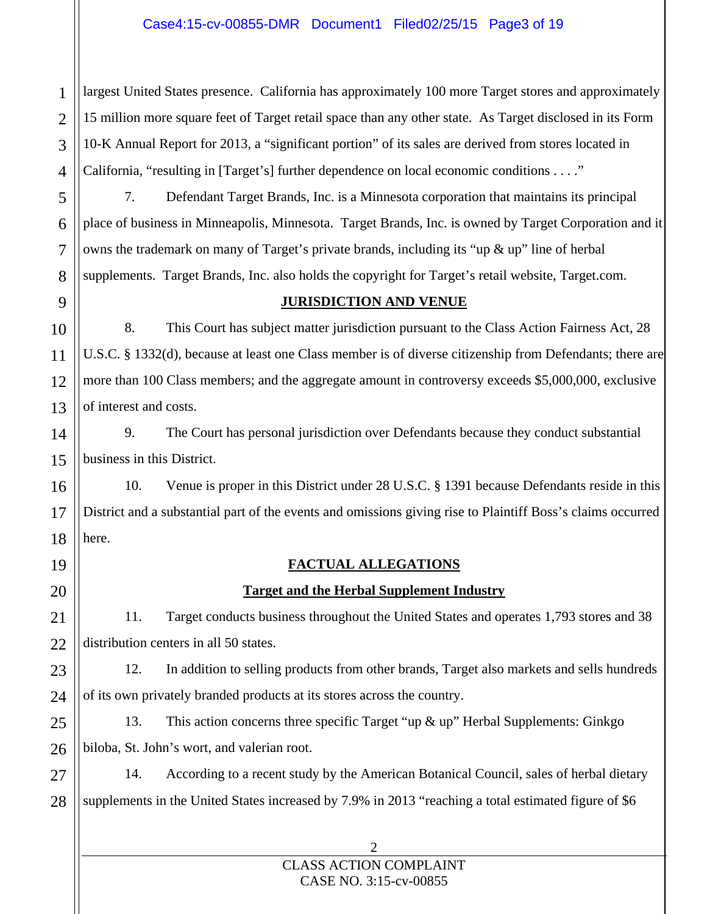# Case4:15-cv-00855-DMR Document1 Filed02/25/15 Page3 of 19

largest United States presence. California has approximately 100 more Target stores and approximately 15 million more square feet of Target retail space than any other state. As Target disclosed in its Form 10-K Annual Report for 2013, a "significant portion" of its sales are derived from stores located in California, "resulting in [Target's] further dependence on local economic conditions . . . ."

7. Defendant Target Brands, Inc. is a Minnesota corporation that maintains its principal place of business in Minneapolis, Minnesota. Target Brands, Inc. is owned by Target Corporation and it owns the trademark on many of Target's private brands, including its "up  $\&$  up" line of herbal supplements. Target Brands, Inc. also holds the copyright for Target's retail website, Target.com.

1

# **JURISDICTION AND VENUE**

8. This Court has subject matter jurisdiction pursuant to the Class Action Fairness Act, 28 U.S.C. § 1332(d), because at least one Class member is of diverse citizenship from Defendants; there are more than 100 Class members; and the aggregate amount in controversy exceeds \$5,000,000, exclusive of interest and costs.

9. The Court has personal jurisdiction over Defendants because they conduct substantial business in this District.

10. Venue is proper in this District under 28 U.S.C. § 1391 because Defendants reside in this District and a substantial part of the events and omissions giving rise to Plaintiff Boss's claims occurred here.

# **FACTUAL ALLEGATIONS**

# **Target and the Herbal Supplement Industry**

11. Target conducts business throughout the United States and operates 1,793 stores and 38 distribution centers in all 50 states.

12. In addition to selling products from other brands, Target also markets and sells hundreds of its own privately branded products at its stores across the country.

13. This action concerns three specific Target "up & up" Herbal Supplements: Ginkgo biloba, St. John's wort, and valerian root.

14. According to a recent study by the American Botanical Council, sales of herbal dietary supplements in the United States increased by 7.9% in 2013 "reaching a total estimated figure of \$6

# 2 CLASS ACTION COMPLAINT CASE NO. 3:15-cv-00855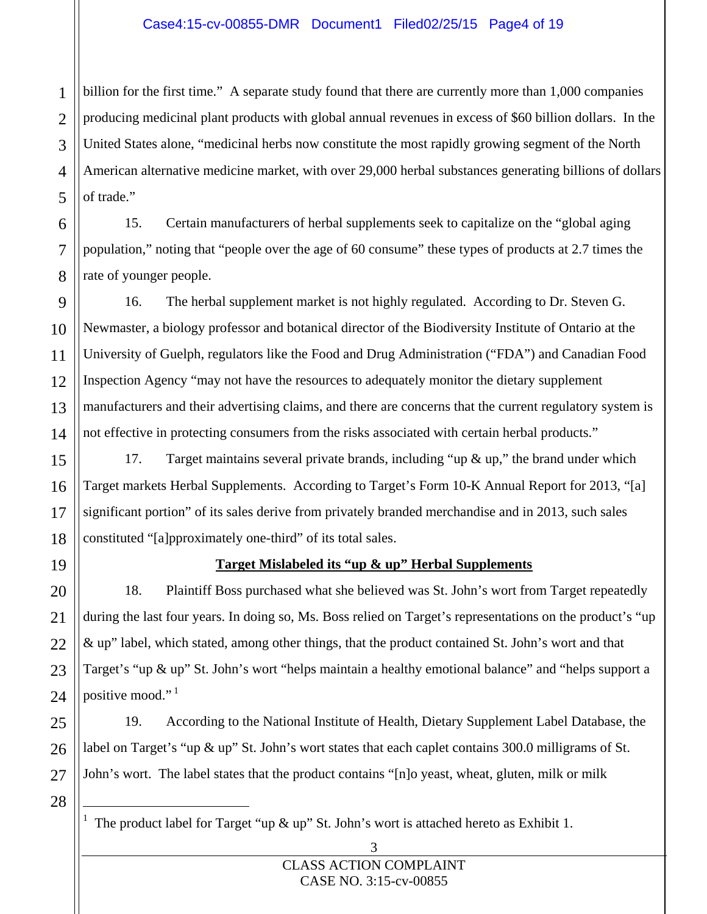# Case4:15-cv-00855-DMR Document1 Filed02/25/15 Page4 of 19

billion for the first time." A separate study found that there are currently more than 1,000 companies producing medicinal plant products with global annual revenues in excess of \$60 billion dollars. In the United States alone, "medicinal herbs now constitute the most rapidly growing segment of the North American alternative medicine market, with over 29,000 herbal substances generating billions of dollars of trade."

15. Certain manufacturers of herbal supplements seek to capitalize on the "global aging population," noting that "people over the age of 60 consume" these types of products at 2.7 times the rate of younger people.

16. The herbal supplement market is not highly regulated. According to Dr. Steven G. Newmaster, a biology professor and botanical director of the Biodiversity Institute of Ontario at the University of Guelph, regulators like the Food and Drug Administration ("FDA") and Canadian Food Inspection Agency "may not have the resources to adequately monitor the dietary supplement manufacturers and their advertising claims, and there are concerns that the current regulatory system is not effective in protecting consumers from the risks associated with certain herbal products."

17. Target maintains several private brands, including "up & up," the brand under which Target markets Herbal Supplements. According to Target's Form 10-K Annual Report for 2013, "[a] significant portion" of its sales derive from privately branded merchandise and in 2013, such sales constituted "[a]pproximately one-third" of its total sales.

# **Target Mislabeled its "up & up" Herbal Supplements**

18. Plaintiff Boss purchased what she believed was St. John's wort from Target repeatedly during the last four years. In doing so, Ms. Boss relied on Target's representations on the product's "up & up" label, which stated, among other things, that the product contained St. John's wort and that Target's "up & up" St. John's wort "helps maintain a healthy emotional balance" and "helps support a positive mood."<sup>1</sup>

19. According to the National Institute of Health, Dietary Supplement Label Database, the label on Target's "up & up" St. John's wort states that each caplet contains 300.0 milligrams of St. John's wort. The label states that the product contains "[n]o yeast, wheat, gluten, milk or milk

28

<sup>1</sup> The product label for Target "up & up" St. John's wort is attached hereto as Exhibit 1.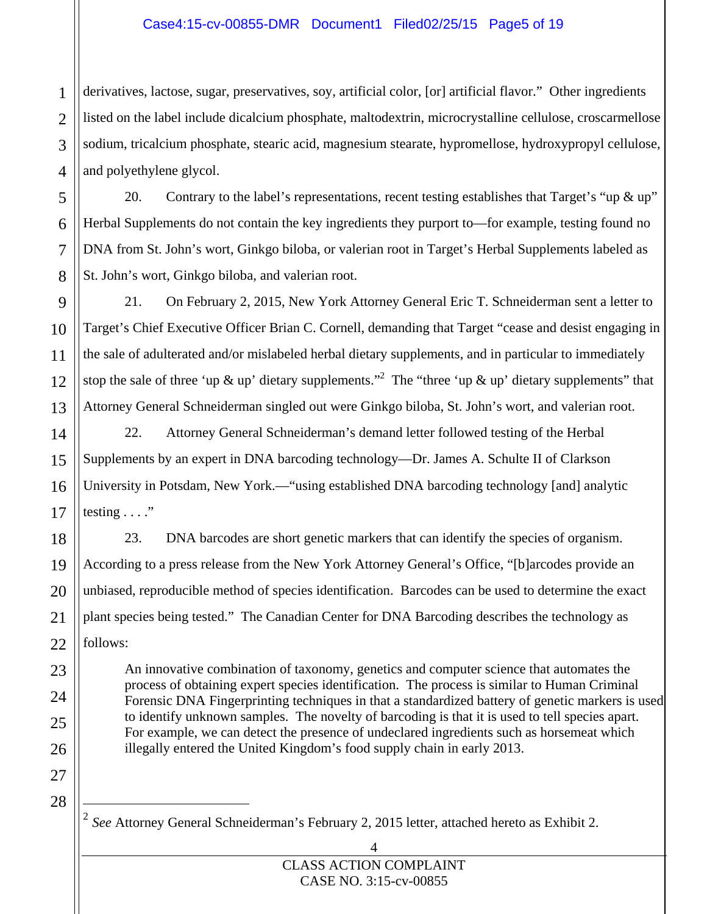# Case4:15-cv-00855-DMR Document1 Filed02/25/15 Page5 of 19

derivatives, lactose, sugar, preservatives, soy, artificial color, [or] artificial flavor." Other ingredients listed on the label include dicalcium phosphate, maltodextrin, microcrystalline cellulose, croscarmellose sodium, tricalcium phosphate, stearic acid, magnesium stearate, hypromellose, hydroxypropyl cellulose, and polyethylene glycol.

20. Contrary to the label's representations, recent testing establishes that Target's "up & up" Herbal Supplements do not contain the key ingredients they purport to—for example, testing found no DNA from St. John's wort, Ginkgo biloba, or valerian root in Target's Herbal Supplements labeled as St. John's wort, Ginkgo biloba, and valerian root.

21. On February 2, 2015, New York Attorney General Eric T. Schneiderman sent a letter to Target's Chief Executive Officer Brian C. Cornell, demanding that Target "cease and desist engaging in the sale of adulterated and/or mislabeled herbal dietary supplements, and in particular to immediately stop the sale of three 'up  $\&$  up' dietary supplements."<sup>2</sup> The "three 'up  $\&$  up' dietary supplements" that Attorney General Schneiderman singled out were Ginkgo biloba, St. John's wort, and valerian root.

22. Attorney General Schneiderman's demand letter followed testing of the Herbal Supplements by an expert in DNA barcoding technology—Dr. James A. Schulte II of Clarkson University in Potsdam, New York.—"using established DNA barcoding technology [and] analytic testing  $\ldots$ ."

23. DNA barcodes are short genetic markers that can identify the species of organism. According to a press release from the New York Attorney General's Office, "[b]arcodes provide an unbiased, reproducible method of species identification. Barcodes can be used to determine the exact plant species being tested." The Canadian Center for DNA Barcoding describes the technology as follows:

An innovative combination of taxonomy, genetics and computer science that automates the process of obtaining expert species identification. The process is similar to Human Criminal Forensic DNA Fingerprinting techniques in that a standardized battery of genetic markers is used to identify unknown samples. The novelty of barcoding is that it is used to tell species apart. For example, we can detect the presence of undeclared ingredients such as horsemeat which illegally entered the United Kingdom's food supply chain in early 2013.

28

l

<sup>2</sup> *See* Attorney General Schneiderman's February 2, 2015 letter, attached hereto as Exhibit 2.

1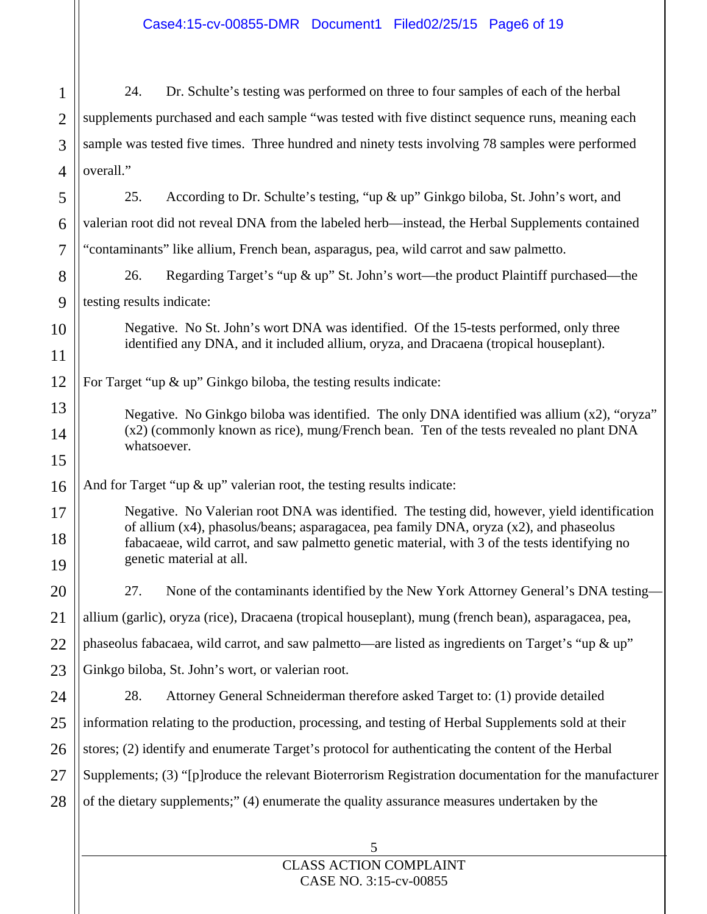5 1 2 3 4 5 6 7 8 9 10 11 12 13 14 15 16 17 18 19 20 21 22 23 24 25 26 27 28 24. Dr. Schulte's testing was performed on three to four samples of each of the herbal supplements purchased and each sample "was tested with five distinct sequence runs, meaning each sample was tested five times. Three hundred and ninety tests involving 78 samples were performed overall." 25. According to Dr. Schulte's testing, "up & up" Ginkgo biloba, St. John's wort, and valerian root did not reveal DNA from the labeled herb—instead, the Herbal Supplements contained "contaminants" like allium, French bean, asparagus, pea, wild carrot and saw palmetto. 26. Regarding Target's "up & up" St. John's wort—the product Plaintiff purchased—the testing results indicate: Negative. No St. John's wort DNA was identified. Of the 15-tests performed, only three identified any DNA, and it included allium, oryza, and Dracaena (tropical houseplant). For Target "up & up" Ginkgo biloba, the testing results indicate: Negative. No Ginkgo biloba was identified. The only DNA identified was allium (x2), "oryza" (x2) (commonly known as rice), mung/French bean. Ten of the tests revealed no plant DNA whatsoever. And for Target "up & up" valerian root, the testing results indicate: Negative. No Valerian root DNA was identified. The testing did, however, yield identification of allium (x4), phasolus/beans; asparagacea, pea family DNA, oryza (x2), and phaseolus fabacaeae, wild carrot, and saw palmetto genetic material, with 3 of the tests identifying no genetic material at all. 27. None of the contaminants identified by the New York Attorney General's DNA testing allium (garlic), oryza (rice), Dracaena (tropical houseplant), mung (french bean), asparagacea, pea, phaseolus fabacaea, wild carrot, and saw palmetto—are listed as ingredients on Target's "up & up" Ginkgo biloba, St. John's wort, or valerian root. 28. Attorney General Schneiderman therefore asked Target to: (1) provide detailed information relating to the production, processing, and testing of Herbal Supplements sold at their stores; (2) identify and enumerate Target's protocol for authenticating the content of the Herbal Supplements; (3) "[p]roduce the relevant Bioterrorism Registration documentation for the manufacturer of the dietary supplements;" (4) enumerate the quality assurance measures undertaken by the

Case4:15-cv-00855-DMR Document1 Filed02/25/15 Page6 of 19

CLASS ACTION COMPLAINT CASE NO. 3:15-cv-00855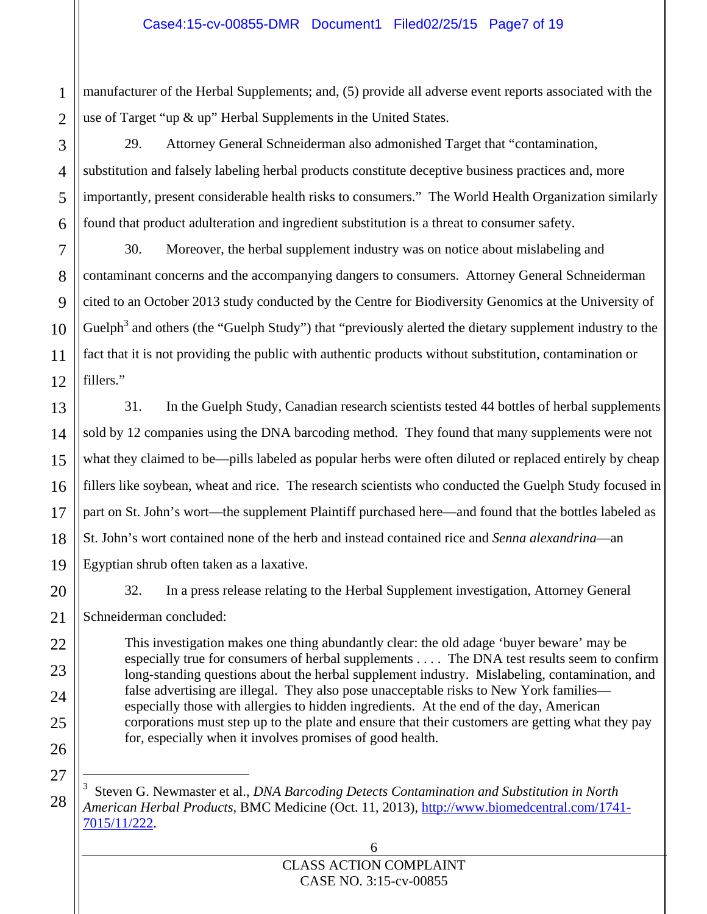manufacturer of the Herbal Supplements; and, (5) provide all adverse event reports associated with the use of Target "up & up" Herbal Supplements in the United States.

29. Attorney General Schneiderman also admonished Target that "contamination, substitution and falsely labeling herbal products constitute deceptive business practices and, more importantly, present considerable health risks to consumers." The World Health Organization similarly found that product adulteration and ingredient substitution is a threat to consumer safety.

30. Moreover, the herbal supplement industry was on notice about mislabeling and contaminant concerns and the accompanying dangers to consumers. Attorney General Schneiderman cited to an October 2013 study conducted by the Centre for Biodiversity Genomics at the University of Guelph<sup>3</sup> and others (the "Guelph Study") that "previously alerted the dietary supplement industry to the fact that it is not providing the public with authentic products without substitution, contamination or fillers."

31. In the Guelph Study, Canadian research scientists tested 44 bottles of herbal supplements sold by 12 companies using the DNA barcoding method. They found that many supplements were not what they claimed to be—pills labeled as popular herbs were often diluted or replaced entirely by cheap fillers like soybean, wheat and rice. The research scientists who conducted the Guelph Study focused in part on St. John's wort—the supplement Plaintiff purchased here—and found that the bottles labeled as St. John's wort contained none of the herb and instead contained rice and *Senna alexandrina*—an Egyptian shrub often taken as a laxative.

32. In a press release relating to the Herbal Supplement investigation, Attorney General

Schneiderman concluded:

This investigation makes one thing abundantly clear: the old adage 'buyer beware' may be especially true for consumers of herbal supplements . . . . The DNA test results seem to confirm long-standing questions about the herbal supplement industry. Mislabeling, contamination, and false advertising are illegal. They also pose unacceptable risks to New York families especially those with allergies to hidden ingredients. At the end of the day, American corporations must step up to the plate and ensure that their customers are getting what they pay for, especially when it involves promises of good health.

3 Steven G. Newmaster et al., *DNA Barcoding Detects Contamination and Substitution in North American Herbal Products*, BMC Medicine (Oct. 11, 2013), http://www.biomedcentral.com/1741- 7015/11/222.

# 6 CLASS ACTION COMPLAINT CASE NO. 3:15-cv-00855

 $\overline{a}$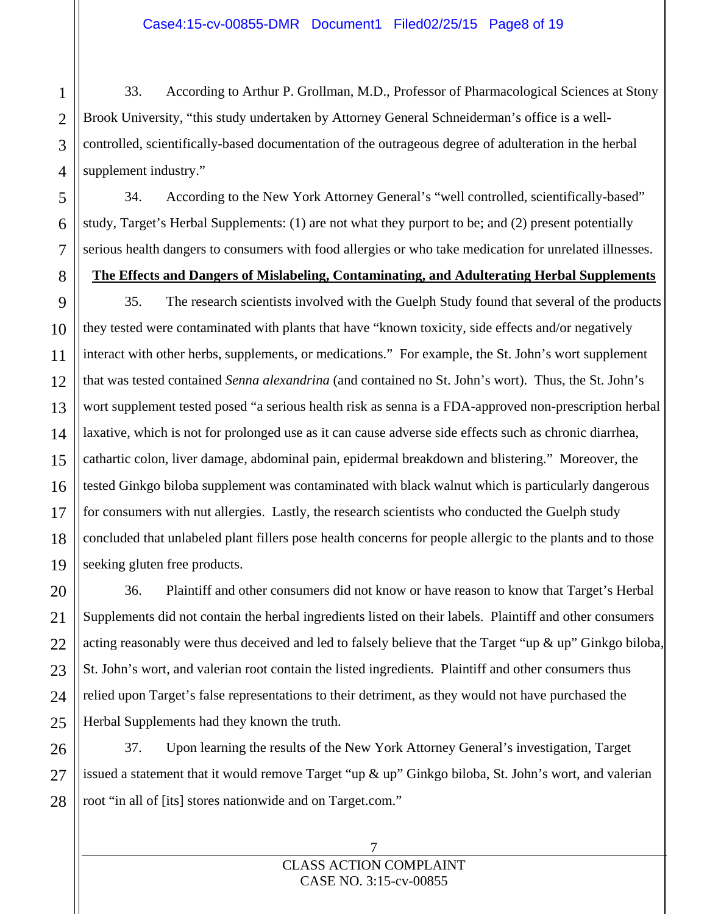33. According to Arthur P. Grollman, M.D., Professor of Pharmacological Sciences at Stony Brook University, "this study undertaken by Attorney General Schneiderman's office is a wellcontrolled, scientifically-based documentation of the outrageous degree of adulteration in the herbal supplement industry."

34. According to the New York Attorney General's "well controlled, scientifically-based" study, Target's Herbal Supplements: (1) are not what they purport to be; and (2) present potentially serious health dangers to consumers with food allergies or who take medication for unrelated illnesses.

# **The Effects and Dangers of Mislabeling, Contaminating, and Adulterating Herbal Supplements**

35. The research scientists involved with the Guelph Study found that several of the products they tested were contaminated with plants that have "known toxicity, side effects and/or negatively interact with other herbs, supplements, or medications." For example, the St. John's wort supplement that was tested contained *Senna alexandrina* (and contained no St. John's wort). Thus, the St. John's wort supplement tested posed "a serious health risk as senna is a FDA-approved non-prescription herbal laxative, which is not for prolonged use as it can cause adverse side effects such as chronic diarrhea, cathartic colon, liver damage, abdominal pain, epidermal breakdown and blistering." Moreover, the tested Ginkgo biloba supplement was contaminated with black walnut which is particularly dangerous for consumers with nut allergies. Lastly, the research scientists who conducted the Guelph study concluded that unlabeled plant fillers pose health concerns for people allergic to the plants and to those seeking gluten free products.

36. Plaintiff and other consumers did not know or have reason to know that Target's Herbal Supplements did not contain the herbal ingredients listed on their labels. Plaintiff and other consumers acting reasonably were thus deceived and led to falsely believe that the Target "up  $\&$  up" Ginkgo biloba, St. John's wort, and valerian root contain the listed ingredients. Plaintiff and other consumers thus relied upon Target's false representations to their detriment, as they would not have purchased the Herbal Supplements had they known the truth.

37. Upon learning the results of the New York Attorney General's investigation, Target issued a statement that it would remove Target "up & up" Ginkgo biloba, St. John's wort, and valerian root "in all of [its] stores nationwide and on Target.com."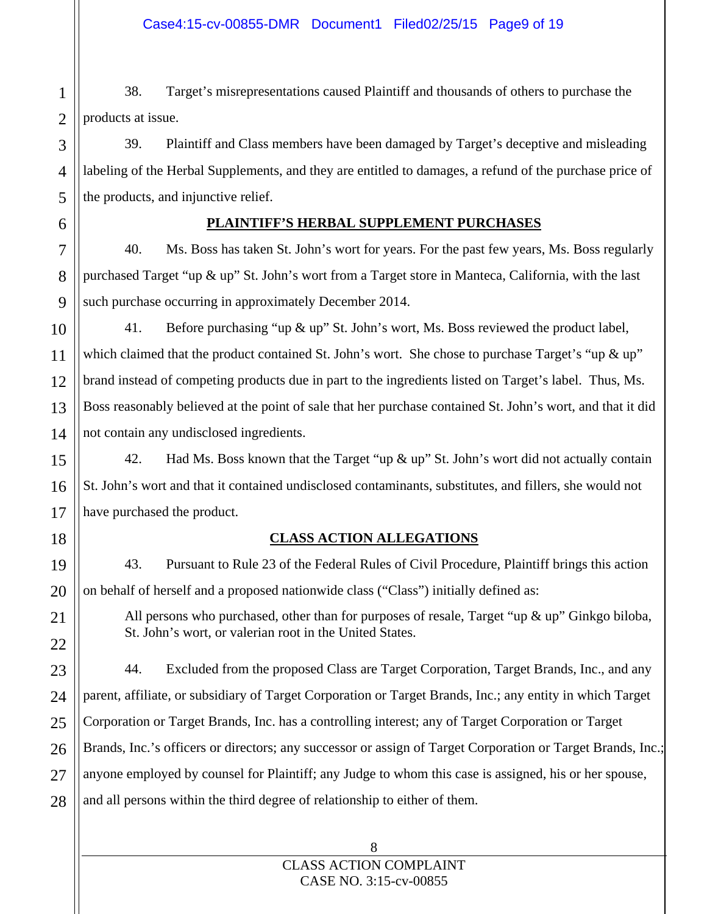38. Target's misrepresentations caused Plaintiff and thousands of others to purchase the products at issue.

39. Plaintiff and Class members have been damaged by Target's deceptive and misleading labeling of the Herbal Supplements, and they are entitled to damages, a refund of the purchase price of the products, and injunctive relief.

# **PLAINTIFF'S HERBAL SUPPLEMENT PURCHASES**

40. Ms. Boss has taken St. John's wort for years. For the past few years, Ms. Boss regularly purchased Target "up & up" St. John's wort from a Target store in Manteca, California, with the last such purchase occurring in approximately December 2014.

41. Before purchasing "up & up" St. John's wort, Ms. Boss reviewed the product label, which claimed that the product contained St. John's wort. She chose to purchase Target's "up  $\&$  up" brand instead of competing products due in part to the ingredients listed on Target's label. Thus, Ms. Boss reasonably believed at the point of sale that her purchase contained St. John's wort, and that it did not contain any undisclosed ingredients.

42. Had Ms. Boss known that the Target "up  $\&$  up" St. John's wort did not actually contain St. John's wort and that it contained undisclosed contaminants, substitutes, and fillers, she would not have purchased the product.

# **CLASS ACTION ALLEGATIONS**

43. Pursuant to Rule 23 of the Federal Rules of Civil Procedure, Plaintiff brings this action on behalf of herself and a proposed nationwide class ("Class") initially defined as:

All persons who purchased, other than for purposes of resale, Target "up  $\&$  up" Ginkgo biloba, St. John's wort, or valerian root in the United States.

44. Excluded from the proposed Class are Target Corporation, Target Brands, Inc., and any parent, affiliate, or subsidiary of Target Corporation or Target Brands, Inc.; any entity in which Target Corporation or Target Brands, Inc. has a controlling interest; any of Target Corporation or Target Brands, Inc.'s officers or directors; any successor or assign of Target Corporation or Target Brands, Inc.; anyone employed by counsel for Plaintiff; any Judge to whom this case is assigned, his or her spouse, and all persons within the third degree of relationship to either of them.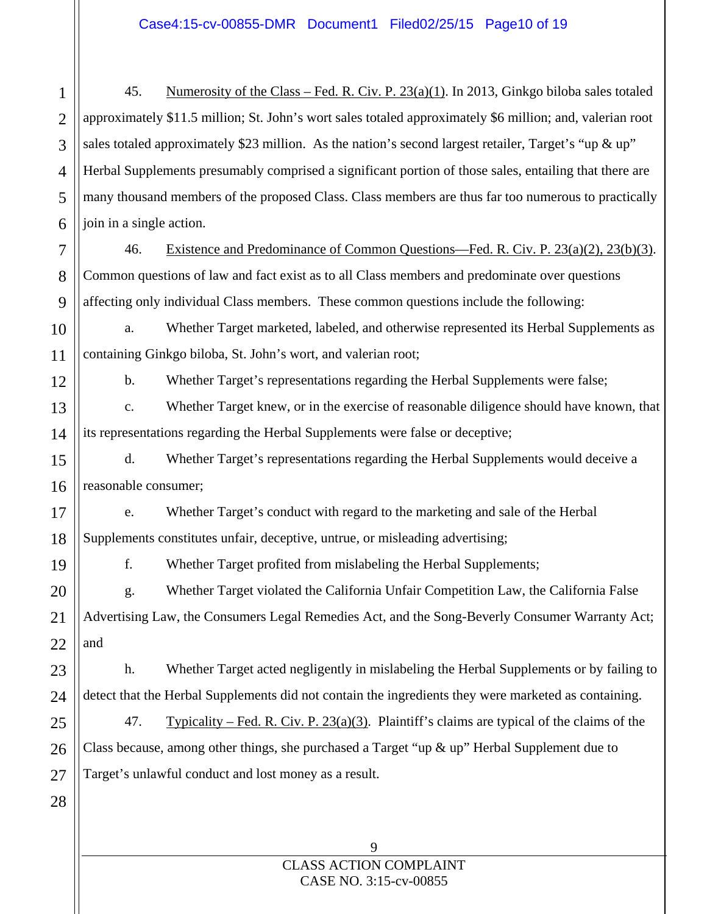45. Numerosity of the Class – Fed. R. Civ. P. 23(a)(1). In 2013, Ginkgo biloba sales totaled approximately \$11.5 million; St. John's wort sales totaled approximately \$6 million; and, valerian root sales totaled approximately \$23 million. As the nation's second largest retailer, Target's "up & up" Herbal Supplements presumably comprised a significant portion of those sales, entailing that there are many thousand members of the proposed Class. Class members are thus far too numerous to practically join in a single action.

46. Existence and Predominance of Common Questions—Fed. R. Civ. P. 23(a)(2), 23(b)(3). Common questions of law and fact exist as to all Class members and predominate over questions affecting only individual Class members. These common questions include the following:

a. Whether Target marketed, labeled, and otherwise represented its Herbal Supplements as containing Ginkgo biloba, St. John's wort, and valerian root;

b. Whether Target's representations regarding the Herbal Supplements were false;

c. Whether Target knew, or in the exercise of reasonable diligence should have known, that its representations regarding the Herbal Supplements were false or deceptive;

d. Whether Target's representations regarding the Herbal Supplements would deceive a reasonable consumer;

e. Whether Target's conduct with regard to the marketing and sale of the Herbal Supplements constitutes unfair, deceptive, untrue, or misleading advertising;

f. Whether Target profited from mislabeling the Herbal Supplements;

g. Whether Target violated the California Unfair Competition Law, the California False Advertising Law, the Consumers Legal Remedies Act, and the Song-Beverly Consumer Warranty Act; and

h. Whether Target acted negligently in mislabeling the Herbal Supplements or by failing to detect that the Herbal Supplements did not contain the ingredients they were marketed as containing.

47. Typicality – Fed. R. Civ. P.  $23(a)(3)$ . Plaintiff's claims are typical of the claims of the Class because, among other things, she purchased a Target "up & up" Herbal Supplement due to Target's unlawful conduct and lost money as a result.

> CLASS ACTION COMPLAINT CASE NO. 3:15-cv-00855

9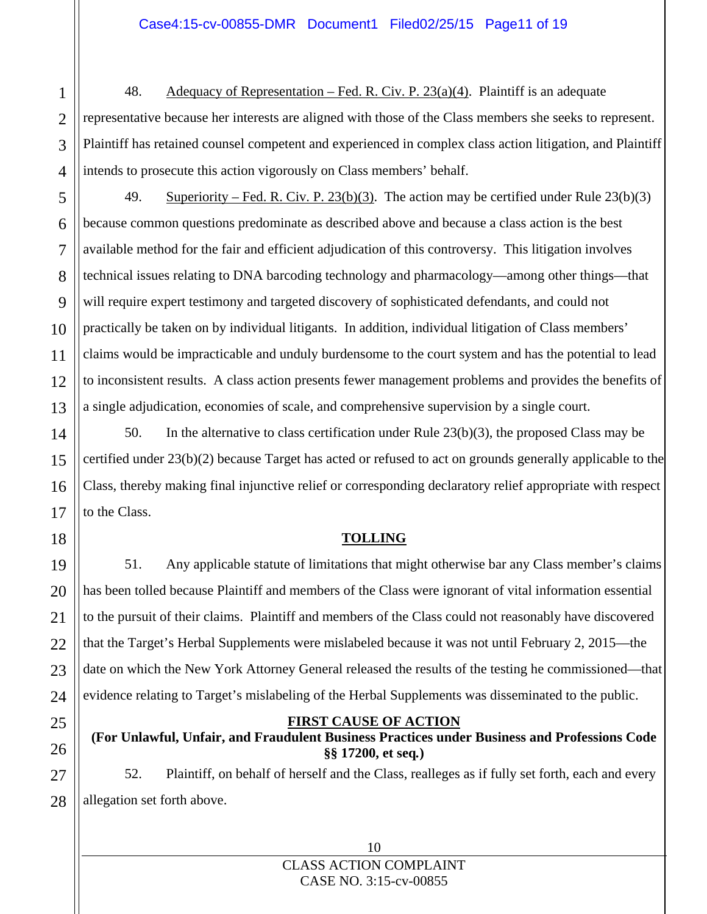48. Adequacy of Representation – Fed. R. Civ. P. 23(a)(4). Plaintiff is an adequate representative because her interests are aligned with those of the Class members she seeks to represent. Plaintiff has retained counsel competent and experienced in complex class action litigation, and Plaintiff intends to prosecute this action vigorously on Class members' behalf.

49. Superiority – Fed. R. Civ. P. 23(b)(3). The action may be certified under Rule 23(b)(3) because common questions predominate as described above and because a class action is the best available method for the fair and efficient adjudication of this controversy. This litigation involves technical issues relating to DNA barcoding technology and pharmacology—among other things—that will require expert testimony and targeted discovery of sophisticated defendants, and could not practically be taken on by individual litigants. In addition, individual litigation of Class members' claims would be impracticable and unduly burdensome to the court system and has the potential to lead to inconsistent results. A class action presents fewer management problems and provides the benefits of a single adjudication, economies of scale, and comprehensive supervision by a single court.

50. In the alternative to class certification under Rule 23(b)(3), the proposed Class may be certified under 23(b)(2) because Target has acted or refused to act on grounds generally applicable to the Class, thereby making final injunctive relief or corresponding declaratory relief appropriate with respect to the Class.

# **TOLLING**

51. Any applicable statute of limitations that might otherwise bar any Class member's claims has been tolled because Plaintiff and members of the Class were ignorant of vital information essential to the pursuit of their claims. Plaintiff and members of the Class could not reasonably have discovered that the Target's Herbal Supplements were mislabeled because it was not until February 2, 2015—the date on which the New York Attorney General released the results of the testing he commissioned—that evidence relating to Target's mislabeling of the Herbal Supplements was disseminated to the public.

# **FIRST CAUSE OF ACTION (For Unlawful, Unfair, and Fraudulent Business Practices under Business and Professions Code §§ 17200, et seq***.***)**

52. Plaintiff, on behalf of herself and the Class, realleges as if fully set forth, each and every allegation set forth above.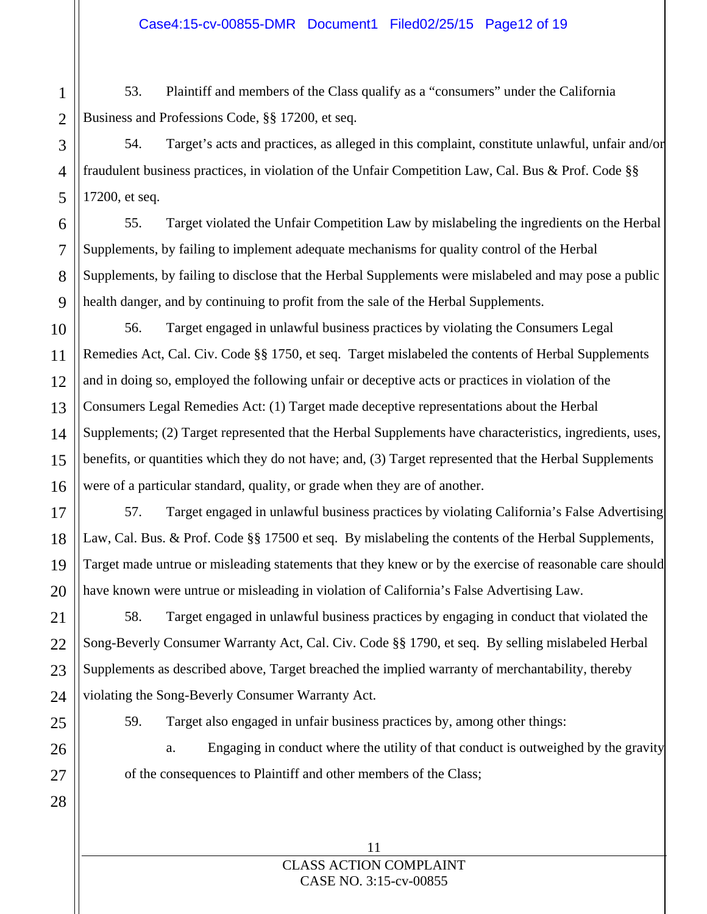53. Plaintiff and members of the Class qualify as a "consumers" under the California Business and Professions Code, §§ 17200, et seq.

54. Target's acts and practices, as alleged in this complaint, constitute unlawful, unfair and/or fraudulent business practices, in violation of the Unfair Competition Law, Cal. Bus & Prof. Code §§ 17200, et seq.

55. Target violated the Unfair Competition Law by mislabeling the ingredients on the Herbal Supplements, by failing to implement adequate mechanisms for quality control of the Herbal Supplements, by failing to disclose that the Herbal Supplements were mislabeled and may pose a public health danger, and by continuing to profit from the sale of the Herbal Supplements.

56. Target engaged in unlawful business practices by violating the Consumers Legal Remedies Act, Cal. Civ. Code §§ 1750, et seq. Target mislabeled the contents of Herbal Supplements and in doing so, employed the following unfair or deceptive acts or practices in violation of the Consumers Legal Remedies Act: (1) Target made deceptive representations about the Herbal Supplements; (2) Target represented that the Herbal Supplements have characteristics, ingredients, uses, benefits, or quantities which they do not have; and, (3) Target represented that the Herbal Supplements were of a particular standard, quality, or grade when they are of another.

57. Target engaged in unlawful business practices by violating California's False Advertising Law, Cal. Bus. & Prof. Code §§ 17500 et seq. By mislabeling the contents of the Herbal Supplements, Target made untrue or misleading statements that they knew or by the exercise of reasonable care should have known were untrue or misleading in violation of California's False Advertising Law.

58. Target engaged in unlawful business practices by engaging in conduct that violated the Song-Beverly Consumer Warranty Act, Cal. Civ. Code §§ 1790, et seq. By selling mislabeled Herbal Supplements as described above, Target breached the implied warranty of merchantability, thereby violating the Song-Beverly Consumer Warranty Act.

59. Target also engaged in unfair business practices by, among other things:

a. Engaging in conduct where the utility of that conduct is outweighed by the gravity of the consequences to Plaintiff and other members of the Class;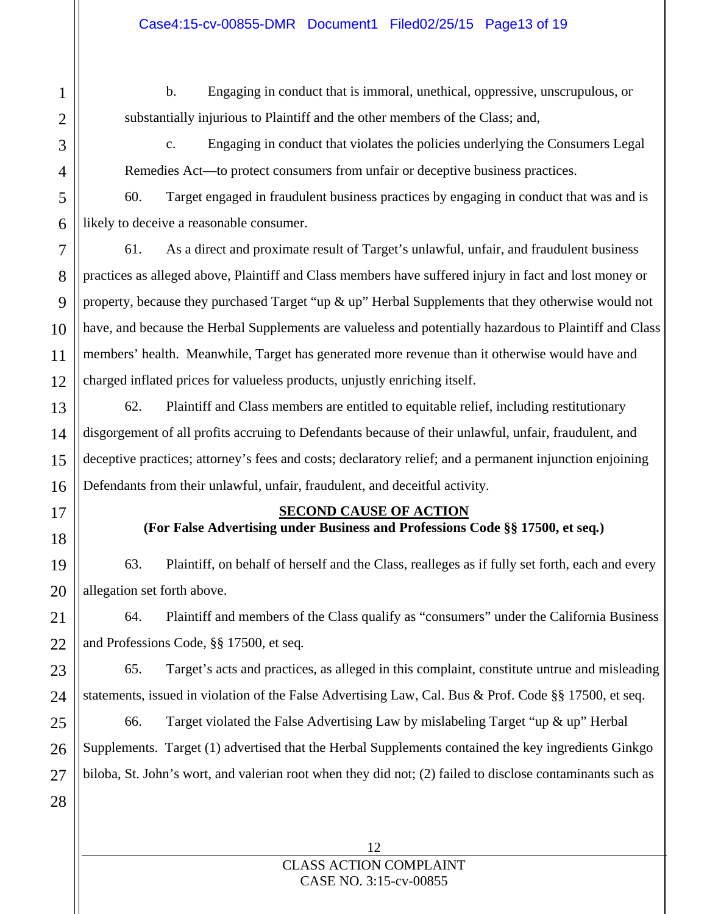b. Engaging in conduct that is immoral, unethical, oppressive, unscrupulous, or substantially injurious to Plaintiff and the other members of the Class; and,

c. Engaging in conduct that violates the policies underlying the Consumers Legal Remedies Act—to protect consumers from unfair or deceptive business practices.

60. Target engaged in fraudulent business practices by engaging in conduct that was and is likely to deceive a reasonable consumer.

61. As a direct and proximate result of Target's unlawful, unfair, and fraudulent business practices as alleged above, Plaintiff and Class members have suffered injury in fact and lost money or property, because they purchased Target "up & up" Herbal Supplements that they otherwise would not have, and because the Herbal Supplements are valueless and potentially hazardous to Plaintiff and Class members' health. Meanwhile, Target has generated more revenue than it otherwise would have and charged inflated prices for valueless products, unjustly enriching itself.

62. Plaintiff and Class members are entitled to equitable relief, including restitutionary disgorgement of all profits accruing to Defendants because of their unlawful, unfair, fraudulent, and deceptive practices; attorney's fees and costs; declaratory relief; and a permanent injunction enjoining Defendants from their unlawful, unfair, fraudulent, and deceitful activity.

# **SECOND CAUSE OF ACTION**

# **(For False Advertising under Business and Professions Code §§ 17500, et seq***.***)**

63. Plaintiff, on behalf of herself and the Class, realleges as if fully set forth, each and every allegation set forth above.

64. Plaintiff and members of the Class qualify as "consumers" under the California Business and Professions Code, §§ 17500, et seq*.*

65. Target's acts and practices, as alleged in this complaint, constitute untrue and misleading statements, issued in violation of the False Advertising Law, Cal. Bus & Prof. Code §§ 17500, et seq.

66. Target violated the False Advertising Law by mislabeling Target "up & up" Herbal Supplements. Target (1) advertised that the Herbal Supplements contained the key ingredients Ginkgo biloba, St. John's wort, and valerian root when they did not; (2) failed to disclose contaminants such as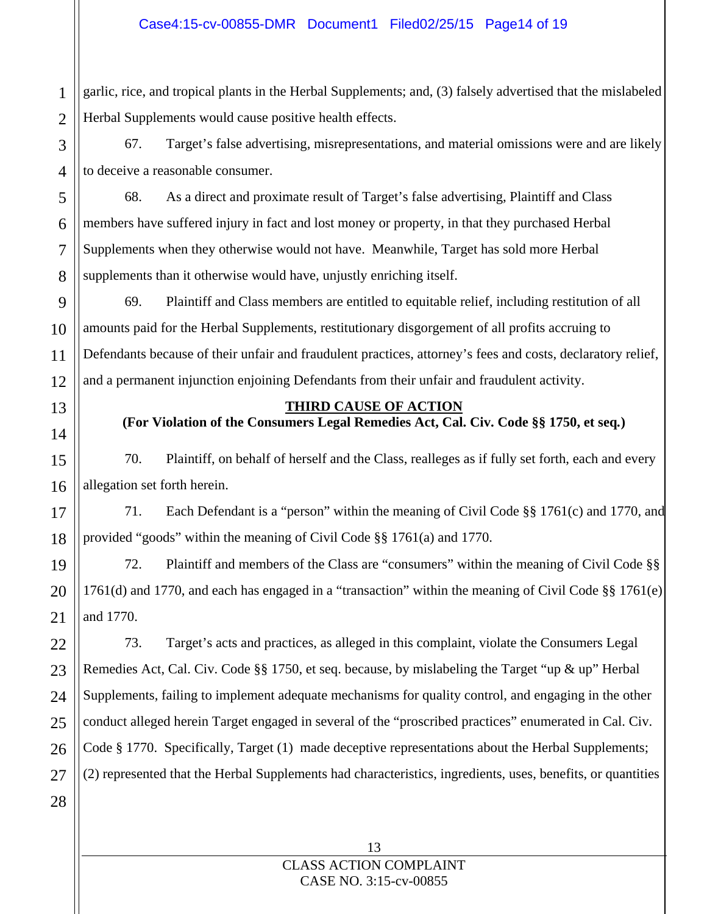garlic, rice, and tropical plants in the Herbal Supplements; and, (3) falsely advertised that the mislabeled Herbal Supplements would cause positive health effects.

67. Target's false advertising, misrepresentations, and material omissions were and are likely to deceive a reasonable consumer.

68. As a direct and proximate result of Target's false advertising, Plaintiff and Class members have suffered injury in fact and lost money or property, in that they purchased Herbal Supplements when they otherwise would not have. Meanwhile, Target has sold more Herbal supplements than it otherwise would have, unjustly enriching itself.

69. Plaintiff and Class members are entitled to equitable relief, including restitution of all amounts paid for the Herbal Supplements, restitutionary disgorgement of all profits accruing to Defendants because of their unfair and fraudulent practices, attorney's fees and costs, declaratory relief, and a permanent injunction enjoining Defendants from their unfair and fraudulent activity.

# 13

1

2

3

4

5

6

7

8

9

10

11

12

14

15

16

17

18

19

20

21

22

23

25

26

27

28

# **THIRD CAUSE OF ACTION**

**(For Violation of the Consumers Legal Remedies Act, Cal. Civ. Code §§ 1750, et seq***.***)** 

70. Plaintiff, on behalf of herself and the Class, realleges as if fully set forth, each and every allegation set forth herein.

71. Each Defendant is a "person" within the meaning of Civil Code §§ 1761(c) and 1770, and provided "goods" within the meaning of Civil Code §§ 1761(a) and 1770.

72. Plaintiff and members of the Class are "consumers" within the meaning of Civil Code §§ 1761(d) and 1770, and each has engaged in a "transaction" within the meaning of Civil Code §§ 1761(e) and 1770.

24 73. Target's acts and practices, as alleged in this complaint, violate the Consumers Legal Remedies Act, Cal. Civ. Code §§ 1750, et seq. because, by mislabeling the Target "up & up" Herbal Supplements, failing to implement adequate mechanisms for quality control, and engaging in the other conduct alleged herein Target engaged in several of the "proscribed practices" enumerated in Cal. Civ. Code § 1770. Specifically, Target (1) made deceptive representations about the Herbal Supplements; (2) represented that the Herbal Supplements had characteristics, ingredients, uses, benefits, or quantities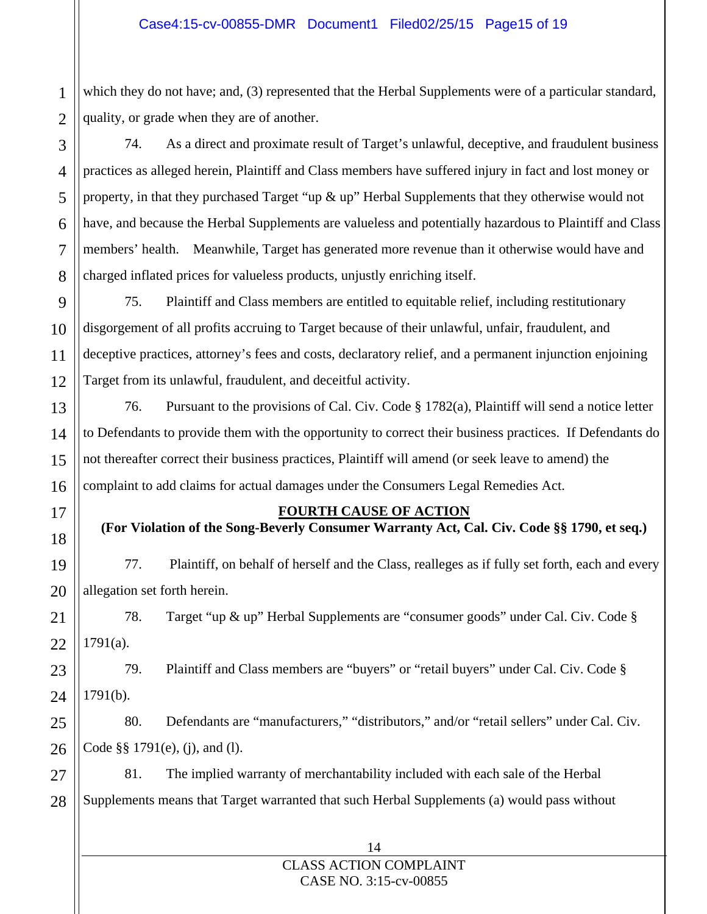which they do not have; and, (3) represented that the Herbal Supplements were of a particular standard, quality, or grade when they are of another.

74. As a direct and proximate result of Target's unlawful, deceptive, and fraudulent business practices as alleged herein, Plaintiff and Class members have suffered injury in fact and lost money or property, in that they purchased Target "up & up" Herbal Supplements that they otherwise would not have, and because the Herbal Supplements are valueless and potentially hazardous to Plaintiff and Class members' health. Meanwhile, Target has generated more revenue than it otherwise would have and charged inflated prices for valueless products, unjustly enriching itself.

75. Plaintiff and Class members are entitled to equitable relief, including restitutionary disgorgement of all profits accruing to Target because of their unlawful, unfair, fraudulent, and deceptive practices, attorney's fees and costs, declaratory relief, and a permanent injunction enjoining Target from its unlawful, fraudulent, and deceitful activity.

76. Pursuant to the provisions of Cal. Civ. Code § 1782(a), Plaintiff will send a notice letter to Defendants to provide them with the opportunity to correct their business practices. If Defendants do not thereafter correct their business practices, Plaintiff will amend (or seek leave to amend) the complaint to add claims for actual damages under the Consumers Legal Remedies Act.

# **FOURTH CAUSE OF ACTION**

**(For Violation of the Song-Beverly Consumer Warranty Act, Cal. Civ. Code §§ 1790, et seq.)** 

77. Plaintiff, on behalf of herself and the Class, realleges as if fully set forth, each and every allegation set forth herein.

78. Target "up & up" Herbal Supplements are "consumer goods" under Cal. Civ. Code §  $1791(a)$ .

79. Plaintiff and Class members are "buyers" or "retail buyers" under Cal. Civ. Code § 1791(b).

80. Defendants are "manufacturers," "distributors," and/or "retail sellers" under Cal. Civ. Code §§ 1791(e), (j), and (l).

81. The implied warranty of merchantability included with each sale of the Herbal Supplements means that Target warranted that such Herbal Supplements (a) would pass without

# 14 CLASS ACTION COMPLAINT CASE NO. 3:15-cv-00855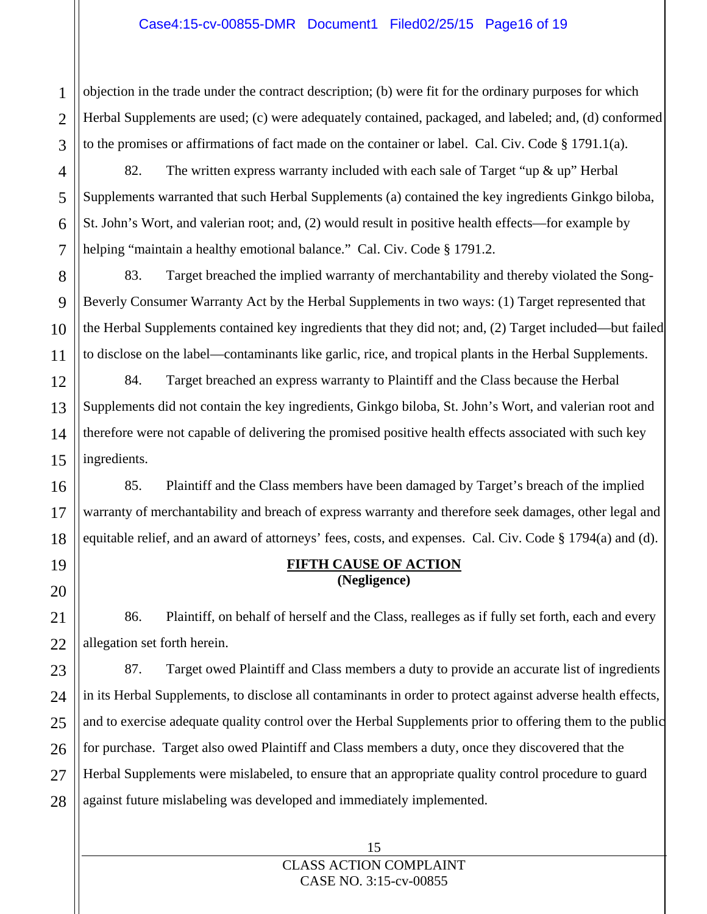objection in the trade under the contract description; (b) were fit for the ordinary purposes for which Herbal Supplements are used; (c) were adequately contained, packaged, and labeled; and, (d) conformed to the promises or affirmations of fact made on the container or label. Cal. Civ. Code § 1791.1(a).

82. The written express warranty included with each sale of Target "up & up" Herbal Supplements warranted that such Herbal Supplements (a) contained the key ingredients Ginkgo biloba, St. John's Wort, and valerian root; and, (2) would result in positive health effects—for example by helping "maintain a healthy emotional balance." Cal. Civ. Code § 1791.2.

83. Target breached the implied warranty of merchantability and thereby violated the Song-Beverly Consumer Warranty Act by the Herbal Supplements in two ways: (1) Target represented that the Herbal Supplements contained key ingredients that they did not; and, (2) Target included—but failed to disclose on the label—contaminants like garlic, rice, and tropical plants in the Herbal Supplements.

84. Target breached an express warranty to Plaintiff and the Class because the Herbal Supplements did not contain the key ingredients, Ginkgo biloba, St. John's Wort, and valerian root and therefore were not capable of delivering the promised positive health effects associated with such key ingredients.

85. Plaintiff and the Class members have been damaged by Target's breach of the implied warranty of merchantability and breach of express warranty and therefore seek damages, other legal and equitable relief, and an award of attorneys' fees, costs, and expenses. Cal. Civ. Code § 1794(a) and (d).

# **FIFTH CAUSE OF ACTION (Negligence)**

86. Plaintiff, on behalf of herself and the Class, realleges as if fully set forth, each and every allegation set forth herein.

87. Target owed Plaintiff and Class members a duty to provide an accurate list of ingredients in its Herbal Supplements, to disclose all contaminants in order to protect against adverse health effects, and to exercise adequate quality control over the Herbal Supplements prior to offering them to the public for purchase. Target also owed Plaintiff and Class members a duty, once they discovered that the Herbal Supplements were mislabeled, to ensure that an appropriate quality control procedure to guard against future mislabeling was developed and immediately implemented.

1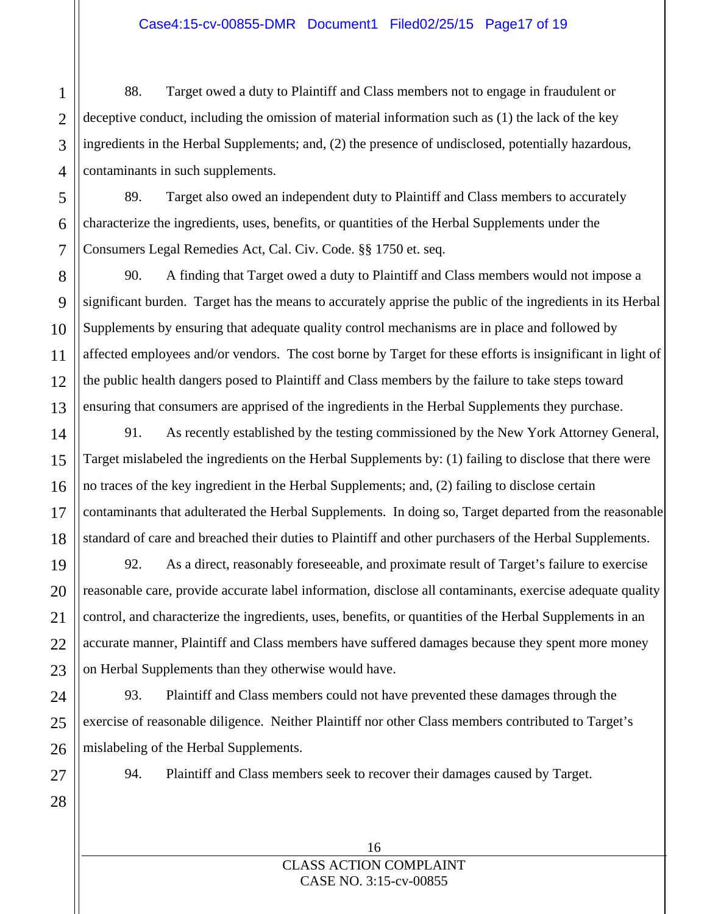88. Target owed a duty to Plaintiff and Class members not to engage in fraudulent or deceptive conduct, including the omission of material information such as (1) the lack of the key ingredients in the Herbal Supplements; and, (2) the presence of undisclosed, potentially hazardous, contaminants in such supplements.

89. Target also owed an independent duty to Plaintiff and Class members to accurately characterize the ingredients, uses, benefits, or quantities of the Herbal Supplements under the Consumers Legal Remedies Act, Cal. Civ. Code. §§ 1750 et. seq.

90. A finding that Target owed a duty to Plaintiff and Class members would not impose a significant burden. Target has the means to accurately apprise the public of the ingredients in its Herbal Supplements by ensuring that adequate quality control mechanisms are in place and followed by affected employees and/or vendors. The cost borne by Target for these efforts is insignificant in light of the public health dangers posed to Plaintiff and Class members by the failure to take steps toward ensuring that consumers are apprised of the ingredients in the Herbal Supplements they purchase.

91. As recently established by the testing commissioned by the New York Attorney General, Target mislabeled the ingredients on the Herbal Supplements by: (1) failing to disclose that there were no traces of the key ingredient in the Herbal Supplements; and, (2) failing to disclose certain contaminants that adulterated the Herbal Supplements. In doing so, Target departed from the reasonable standard of care and breached their duties to Plaintiff and other purchasers of the Herbal Supplements.

92. As a direct, reasonably foreseeable, and proximate result of Target's failure to exercise reasonable care, provide accurate label information, disclose all contaminants, exercise adequate quality control, and characterize the ingredients, uses, benefits, or quantities of the Herbal Supplements in an accurate manner, Plaintiff and Class members have suffered damages because they spent more money on Herbal Supplements than they otherwise would have.

93. Plaintiff and Class members could not have prevented these damages through the exercise of reasonable diligence. Neither Plaintiff nor other Class members contributed to Target's mislabeling of the Herbal Supplements.

94. Plaintiff and Class members seek to recover their damages caused by Target.

1

2

3

4

5

6

7

8

9

10

11

12

13

14

15

16 CLASS ACTION COMPLAINT CASE NO. 3:15-cv-00855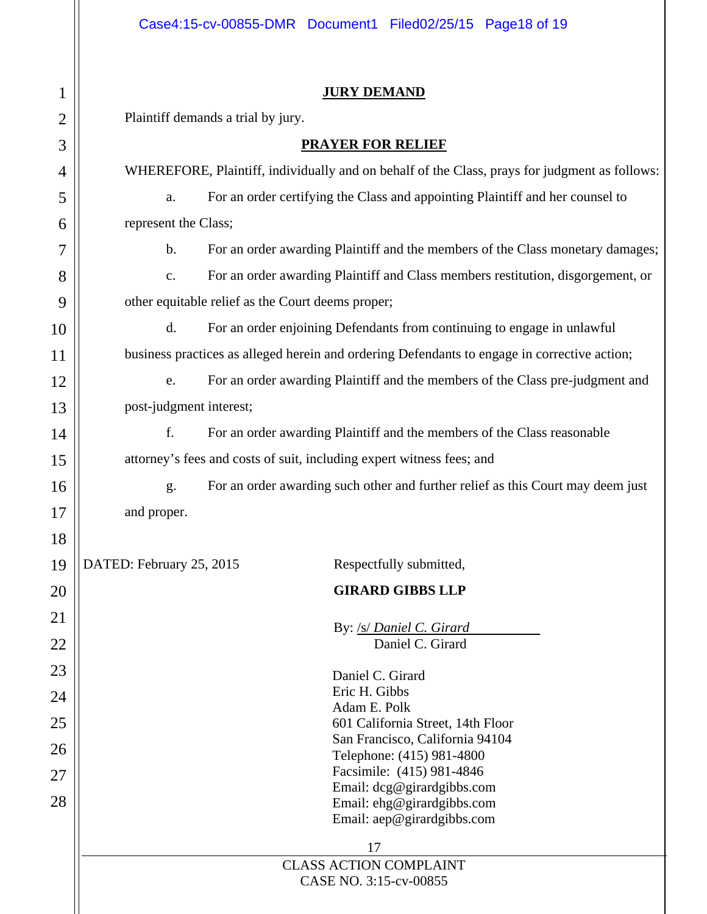Ш

| $\mathbf 1$    | <b>JURY DEMAND</b>                                                                              |  |  |  |  |  |  |  |
|----------------|-------------------------------------------------------------------------------------------------|--|--|--|--|--|--|--|
| $\overline{2}$ | Plaintiff demands a trial by jury.                                                              |  |  |  |  |  |  |  |
| 3              | <b>PRAYER FOR RELIEF</b>                                                                        |  |  |  |  |  |  |  |
| $\overline{4}$ | WHEREFORE, Plaintiff, individually and on behalf of the Class, prays for judgment as follows:   |  |  |  |  |  |  |  |
| 5              | For an order certifying the Class and appointing Plaintiff and her counsel to<br>a.             |  |  |  |  |  |  |  |
| 6              | represent the Class;                                                                            |  |  |  |  |  |  |  |
| 7              | $\mathbf b$ .<br>For an order awarding Plaintiff and the members of the Class monetary damages; |  |  |  |  |  |  |  |
| 8              | For an order awarding Plaintiff and Class members restitution, disgorgement, or<br>c.           |  |  |  |  |  |  |  |
| 9              | other equitable relief as the Court deems proper;                                               |  |  |  |  |  |  |  |
| 10             | d.<br>For an order enjoining Defendants from continuing to engage in unlawful                   |  |  |  |  |  |  |  |
| 11             | business practices as alleged herein and ordering Defendants to engage in corrective action;    |  |  |  |  |  |  |  |
| 12             | For an order awarding Plaintiff and the members of the Class pre-judgment and<br>e.             |  |  |  |  |  |  |  |
| 13             | post-judgment interest;                                                                         |  |  |  |  |  |  |  |
| 14             | f.<br>For an order awarding Plaintiff and the members of the Class reasonable                   |  |  |  |  |  |  |  |
| 15             | attorney's fees and costs of suit, including expert witness fees; and                           |  |  |  |  |  |  |  |
| 16             | For an order awarding such other and further relief as this Court may deem just<br>g.           |  |  |  |  |  |  |  |
| 17             | and proper.                                                                                     |  |  |  |  |  |  |  |
| 18             |                                                                                                 |  |  |  |  |  |  |  |
| 19             | DATED: February 25, 2015<br>Respectfully submitted,                                             |  |  |  |  |  |  |  |
| 20             | <b>GIRARD GIBBS LLP</b>                                                                         |  |  |  |  |  |  |  |
| 21             |                                                                                                 |  |  |  |  |  |  |  |
| 22             | By: /s/ Daniel C. Girard<br>Daniel C. Girard                                                    |  |  |  |  |  |  |  |
| 23             | Daniel C. Girard                                                                                |  |  |  |  |  |  |  |
| 24             | Eric H. Gibbs                                                                                   |  |  |  |  |  |  |  |
| 25             | Adam E. Polk<br>601 California Street, 14th Floor                                               |  |  |  |  |  |  |  |
| 26             | San Francisco, California 94104                                                                 |  |  |  |  |  |  |  |
| 27             | Telephone: (415) 981-4800<br>Facsimile: (415) 981-4846                                          |  |  |  |  |  |  |  |
| 28             | Email: dcg@girardgibbs.com<br>Email: ehg@girardgibbs.com                                        |  |  |  |  |  |  |  |
|                | Email: aep@girardgibbs.com                                                                      |  |  |  |  |  |  |  |
|                | 17                                                                                              |  |  |  |  |  |  |  |
|                | <b>CLASS ACTION COMPLAINT</b><br>CASE NO. 3:15-cv-00855                                         |  |  |  |  |  |  |  |
|                |                                                                                                 |  |  |  |  |  |  |  |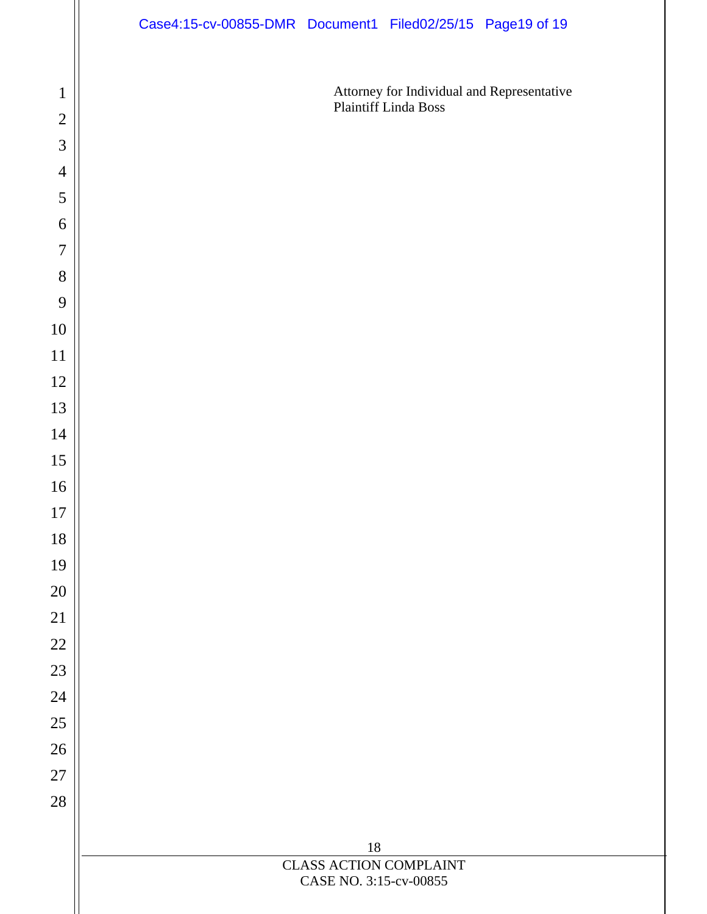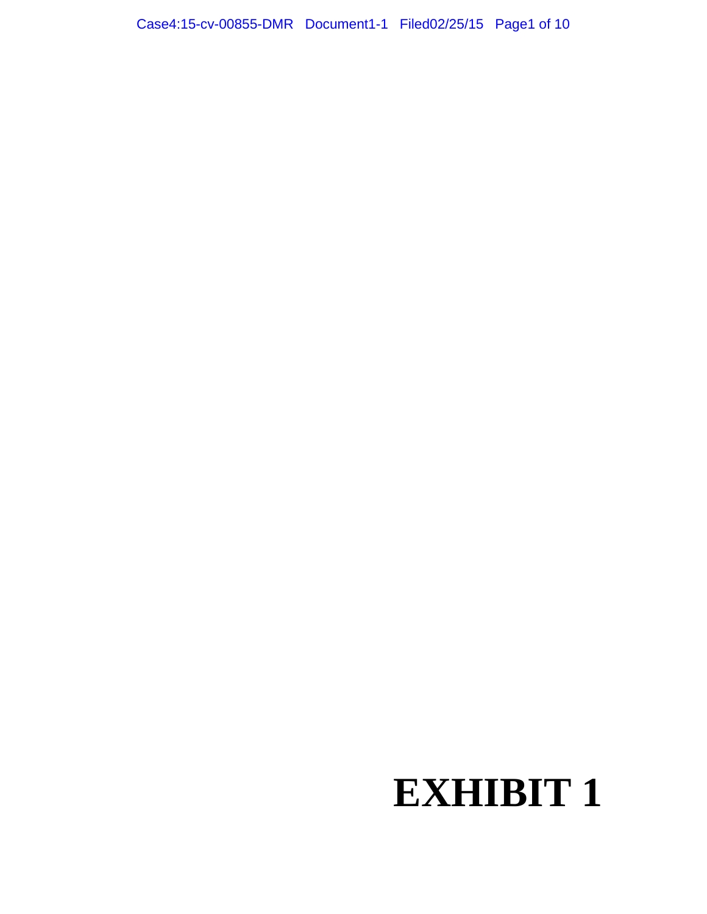# **EXHIBIT 1**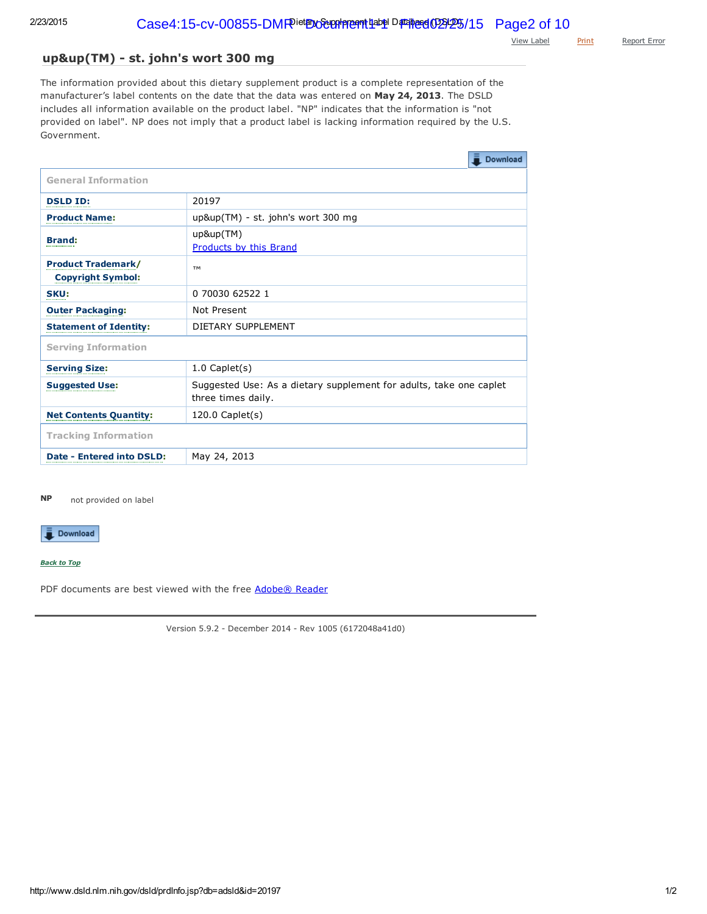View [Label](www.dsld.nlm.nih.gov/dsld/docs/20197.pdf) [Print](javascript: void window.print();) [Report](mailto:ODSComments@mail.nih.gov?subject=DSLD%20error%20report&body=Your%20feedback%20is%20important%20to%20us,%20especially%20during%20the%20development%20and%20beta%20testing%20of%20this%20site.%0D%0APlease%20let%20us%20know%20the%20details%20of%20the%20error%3A%0D%0A%0D%0A%0D%0A%0D%0AReporting%20on%3A%20%20http%3A%2F%2Flocalhost%3A8080%2Fdsld%2F%2FprdInfo.jsp%3Fdb%3Dadsld%26id%3D20197%0D%0AReferred%20from%3A%20%20http%3A%2F%2Fwww.dsld.nlm.nih.gov%2Fdsld%2FprdDSF.jsp%3Fdb%3Dadsld%26id%3D20197%0D%0ADSLD%20Version%205.9.2%20-%20December%202014%20-%20Rev%201005%20(6172048a41d0)%20-%20TRF14_1125%0D%0ASESSION%3A%2023163FB210A941F5C1D3B9EC2A91E257) Error

# up&up(TM) - st. john's wort 300 mg

The information provided about this dietary supplement product is a complete representation of the manufacturer's label contents on the date that the data was entered on May 24, 2013. The DSLD includes all information available on the product label. "NP" indicates that the information is "not provided on label". NP does not imply that a product label is lacking information required by the U.S. Government.

|                                                       | Download                                                                                 |
|-------------------------------------------------------|------------------------------------------------------------------------------------------|
| <b>General Information</b>                            |                                                                                          |
| <b>DSLD ID:</b>                                       | 20197                                                                                    |
| <b>Product Name:</b>                                  | up&up(TM) - st. john's wort 300 mg                                                       |
| <b>Brand:</b><br>-----------------                    | up&up(TM)<br>Products by this Brand                                                      |
| <b>Product Trademark/</b><br><b>Copyright Symbol:</b> | <b>TM</b>                                                                                |
| SKU:<br><del>.</del>                                  | 0 70030 62522 1                                                                          |
| <b>Outer Packaging:</b>                               | Not Present                                                                              |
| <b>Statement of Identity:</b>                         | DIETARY SUPPLEMENT                                                                       |
| <b>Serving Information</b>                            |                                                                                          |
| <b>Serving Size:</b>                                  | $1.0$ Caplet(s)                                                                          |
| <b>Suggested Use:</b>                                 | Suggested Use: As a dietary supplement for adults, take one caplet<br>three times daily. |
| <b>Net Contents Quantity:</b>                         | $120.0$ Caplet(s)                                                                        |
| <b>Tracking Information</b>                           |                                                                                          |
| Date - Entered into DSLD:                             | May 24, 2013                                                                             |

not provided on label NP

 $\bar{a}$  Download

*Back to Top*

PDF documents are best viewed with the free [Adobe®](http://get.adobe.com/reader/otherversions/) Reader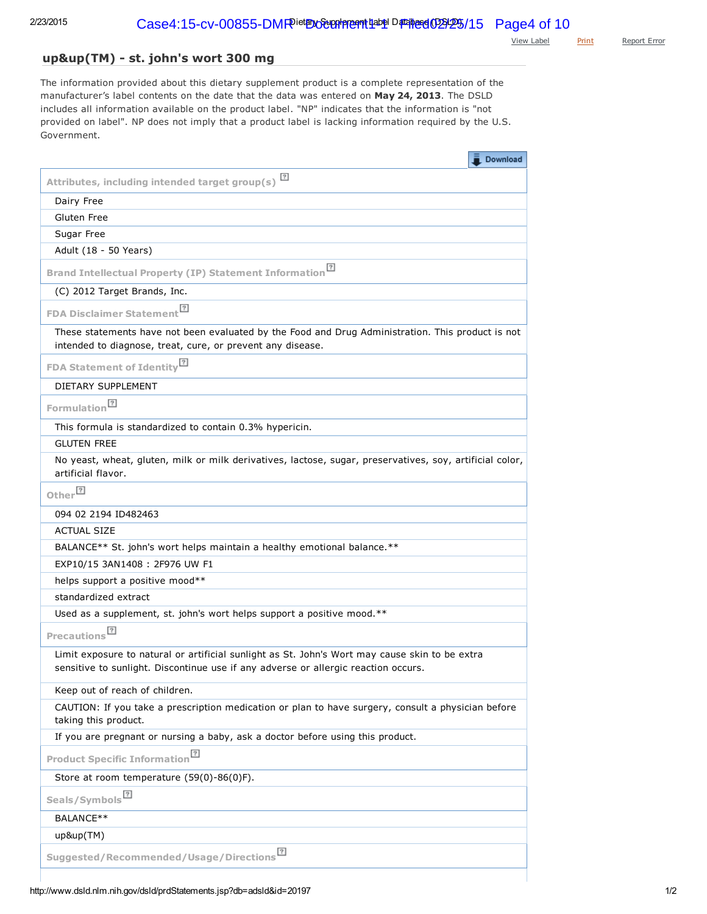View [Label](www.dsld.nlm.nih.gov/dsld/docs/20197.pdf) [Print](javascript: void window.print();) [Report](mailto:ODSComments@mail.nih.gov?subject=DSLD%20error%20report&body=Your%20feedback%20is%20important%20to%20us,%20especially%20during%20the%20development%20and%20beta%20testing%20of%20this%20site.%0D%0APlease%20let%20us%20know%20the%20details%20of%20the%20error%3A%0D%0A%0D%0A%0D%0A%0D%0AReporting%20on%3A%20%20http%3A%2F%2Flocalhost%3A8080%2Fdsld%2F%2FprdStatements.jsp%3Fdb%3Dadsld%26id%3D20197%0D%0AReferred%20from%3A%20%20http%3A%2F%2Fwww.dsld.nlm.nih.gov%2Fdsld%2FprdDSF.jsp%3Fdb%3Dadsld%26id%3D20197%0D%0ADSLD%20Version%205.9.2%20-%20December%202014%20-%20Rev%201005%20(6172048a41d0)%20-%20TRF14_1125%0D%0ASESSION%3A%2023163FB210A941F5C1D3B9EC2A91E257) Error

# up&up(TM) - st. john's wort 300 mg

The information provided about this dietary supplement product is a complete representation of the manufacturer's label contents on the date that the data was entered on May 24, 2013. The DSLD includes all information available on the product label. "NP" indicates that the information is "not provided on label". NP does not imply that a product label is lacking information required by the U.S. Government.

| $\bar{I}$ Download                                                                                                                                                                   |
|--------------------------------------------------------------------------------------------------------------------------------------------------------------------------------------|
| $\sqrt{2}$<br>Attributes, including intended target group(s)                                                                                                                         |
| Dairy Free                                                                                                                                                                           |
| Gluten Free                                                                                                                                                                          |
| Sugar Free                                                                                                                                                                           |
| Adult (18 - 50 Years)                                                                                                                                                                |
| Brand Intellectual Property (IP) Statement Information <sup>[2]</sup>                                                                                                                |
| (C) 2012 Target Brands, Inc.                                                                                                                                                         |
| FDA Disclaimer Statement <sup>[7]</sup>                                                                                                                                              |
| These statements have not been evaluated by the Food and Drug Administration. This product is not<br>intended to diagnose, treat, cure, or prevent any disease.                      |
| FDA Statement of Identity <sup>[7]</sup>                                                                                                                                             |
| DIETARY SUPPLEMENT                                                                                                                                                                   |
| Formulation <sup>[?]</sup>                                                                                                                                                           |
| This formula is standardized to contain 0.3% hypericin.                                                                                                                              |
| <b>GLUTEN FREE</b>                                                                                                                                                                   |
| No yeast, wheat, gluten, milk or milk derivatives, lactose, sugar, preservatives, soy, artificial color,<br>artificial flavor.                                                       |
| Other <sup>[?]</sup>                                                                                                                                                                 |
| 094 02 2194 ID482463                                                                                                                                                                 |
| <b>ACTUAL SIZE</b>                                                                                                                                                                   |
| BALANCE** St. john's wort helps maintain a healthy emotional balance.**                                                                                                              |
| EXP10/15 3AN1408: 2F976 UW F1                                                                                                                                                        |
| helps support a positive mood**                                                                                                                                                      |
| standardized extract                                                                                                                                                                 |
| Used as a supplement, st. john's wort helps support a positive mood.**                                                                                                               |
| Precautions <sup>[?]</sup>                                                                                                                                                           |
| Limit exposure to natural or artificial sunlight as St. John's Wort may cause skin to be extra<br>sensitive to sunlight. Discontinue use if any adverse or allergic reaction occurs. |
| Keep out of reach of children.                                                                                                                                                       |
| CAUTION: If you take a prescription medication or plan to have surgery, consult a physician before<br>taking this product.                                                           |
| If you are pregnant or nursing a baby, ask a doctor before using this product.                                                                                                       |
| Product Specific Information <sup>[7]</sup>                                                                                                                                          |
| Store at room temperature (59(0)-86(0)F).                                                                                                                                            |
| Seals/Symbols <sup>?</sup>                                                                                                                                                           |
| BALANCE**                                                                                                                                                                            |
| up&up(TM)                                                                                                                                                                            |
| Suggested/Recommended/Usage/Directions <sup>[2]</sup>                                                                                                                                |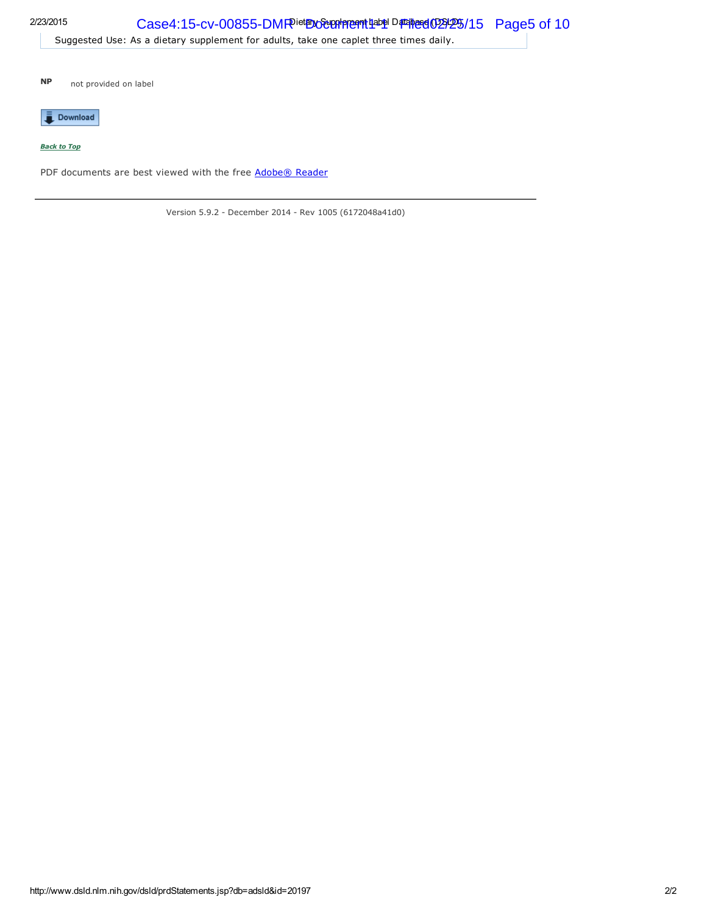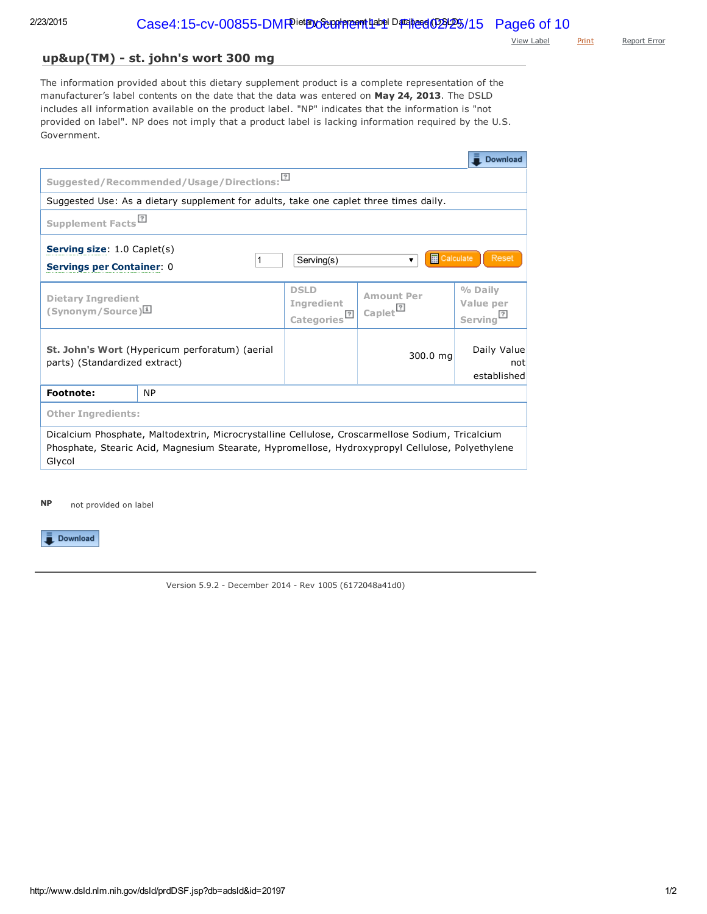View [Label](www.dsld.nlm.nih.gov/dsld/docs/20197.pdf) [Print](javascript: void window.print();) [Report](mailto:ODSComments@mail.nih.gov?subject=DSLD%20error%20report&body=Your%20feedback%20is%20important%20to%20us,%20especially%20during%20the%20development%20and%20beta%20testing%20of%20this%20site.%0D%0APlease%20let%20us%20know%20the%20details%20of%20the%20error%3A%0D%0A%0D%0A%0D%0A%0D%0AReporting%20on%3A%20%20http%3A%2F%2Flocalhost%3A8080%2Fdsld%2F%2FprdDSF.jsp%3Fdb%3Dadsld%26id%3D20197%0D%0AReferred%20from%3A%20%20http%3A%2F%2Fwww.dsld.nlm.nih.gov%2Fdsld%2FprdInfo.jsp%3Fdb%3Dadsld%26id%3D20197%0D%0ADSLD%20Version%205.9.2%20-%20December%202014%20-%20Rev%201005%20(6172048a41d0)%20-%20TRF14_1125%0D%0ASESSION%3A%2023163FB210A941F5C1D3B9EC2A91E257) Error

# up&up(TM) - st. john's wort 300 mg

The information provided about this dietary supplement product is a complete representation of the manufacturer's label contents on the date that the data was entered on May 24, 2013. The DSLD includes all information available on the product label. "NP" indicates that the information is "not provided on label". NP does not imply that a product label is lacking information required by the U.S. Government.

|                                                                                                                                                                                                                |                                                                                       |                                                             |                                            | Download                          |  |  |
|----------------------------------------------------------------------------------------------------------------------------------------------------------------------------------------------------------------|---------------------------------------------------------------------------------------|-------------------------------------------------------------|--------------------------------------------|-----------------------------------|--|--|
| Suggested/Recommended/Usage/Directions:                                                                                                                                                                        |                                                                                       |                                                             |                                            |                                   |  |  |
|                                                                                                                                                                                                                | Suggested Use: As a dietary supplement for adults, take one caplet three times daily. |                                                             |                                            |                                   |  |  |
| Supplement Facts <sup>[?]</sup>                                                                                                                                                                                |                                                                                       |                                                             |                                            |                                   |  |  |
| <b>Serving size: 1.0 Caplet(s)</b><br>藤<br>Calculate<br>Reset<br>Serving(s)<br>▼<br>1<br><b>Servings per Container: 0</b>                                                                                      |                                                                                       |                                                             |                                            |                                   |  |  |
| <b>Dietary Ingredient</b><br>(Synonym/Source)                                                                                                                                                                  |                                                                                       | <b>DSLD</b><br><b>Ingredient</b><br>Categories <sup>?</sup> | <b>Amount Per</b><br>Caplet <sup>[7]</sup> | % Daily<br>Value per<br>Serving   |  |  |
| parts) (Standardized extract)                                                                                                                                                                                  | St. John's Wort (Hypericum perforatum) (aerial                                        |                                                             | 300.0 mg                                   | Daily Value<br>not<br>established |  |  |
| <b>Footnote:</b>                                                                                                                                                                                               | <b>NP</b>                                                                             |                                                             |                                            |                                   |  |  |
| <b>Other Ingredients:</b>                                                                                                                                                                                      |                                                                                       |                                                             |                                            |                                   |  |  |
| Dicalcium Phosphate, Maltodextrin, Microcrystalline Cellulose, Croscarmellose Sodium, Tricalcium<br>Phosphate, Stearic Acid, Magnesium Stearate, Hypromellose, Hydroxypropyl Cellulose, Polyethylene<br>Glycol |                                                                                       |                                                             |                                            |                                   |  |  |

not provided on label NP

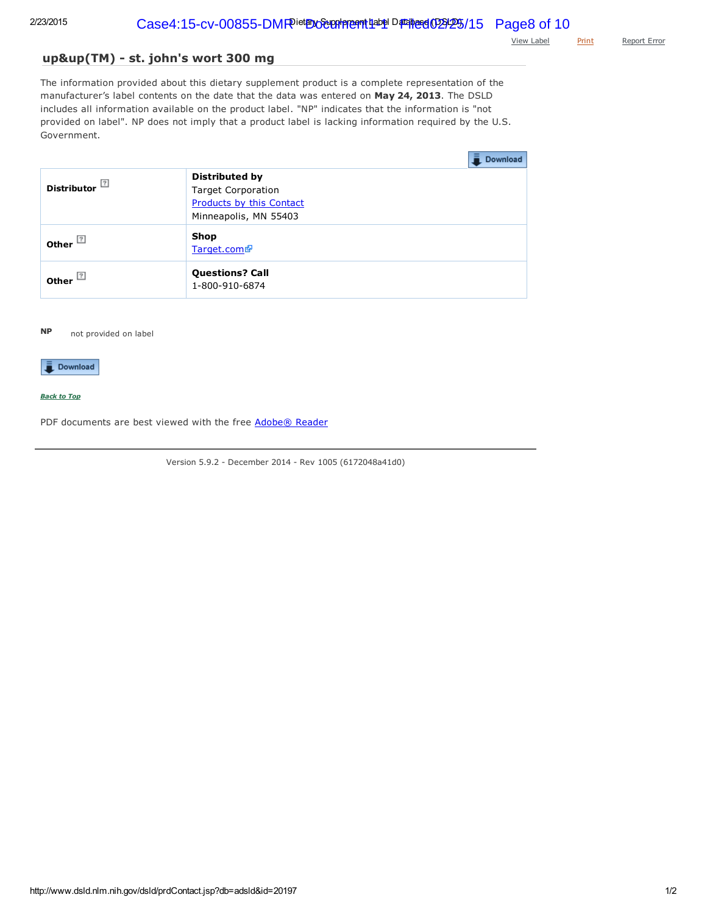View [Label](www.dsld.nlm.nih.gov/dsld/docs/20197.pdf) [Print](javascript: void window.print();) [Report](mailto:ODSComments@mail.nih.gov?subject=DSLD%20error%20report&body=Your%20feedback%20is%20important%20to%20us,%20especially%20during%20the%20development%20and%20beta%20testing%20of%20this%20site.%0D%0APlease%20let%20us%20know%20the%20details%20of%20the%20error%3A%0D%0A%0D%0A%0D%0A%0D%0AReporting%20on%3A%20%20http%3A%2F%2Flocalhost%3A8080%2Fdsld%2F%2FprdContact.jsp%3Fdb%3Dadsld%26id%3D20197%0D%0AReferred%20from%3A%20%20http%3A%2F%2Fwww.dsld.nlm.nih.gov%2Fdsld%2FprdStatements.jsp%3Fdb%3Dadsld%26id%3D20197%0D%0ADSLD%20Version%205.9.2%20-%20December%202014%20-%20Rev%201005%20(6172048a41d0)%20-%20TRF14_1125%0D%0ASESSION%3A%2023163FB210A941F5C1D3B9EC2A91E257) Error

# up&up(TM) - st. john's wort 300 mg

The information provided about this dietary supplement product is a complete representation of the manufacturer's label contents on the date that the data was entered on May 24, 2013. The DSLD includes all information available on the product label. "NP" indicates that the information is "not provided on label". NP does not imply that a product label is lacking information required by the U.S. Government.

|                                                         | Download                                                                                                       |
|---------------------------------------------------------|----------------------------------------------------------------------------------------------------------------|
| 2 <br><b>Distributor</b>                                | <b>Distributed by</b><br><b>Target Corporation</b><br><b>Products by this Contact</b><br>Minneapolis, MN 55403 |
| $\sqrt{2}$<br>Other                                     | Shop<br>Target.com                                                                                             |
| $\overline{\phantom{a}}$ Other $\overline{\phantom{a}}$ | <b>Questions? Call</b><br>1-800-910-6874                                                                       |

### not provided on label NP

# Download

## *Back to Top*

PDF documents are best viewed with the free [Adobe®](http://get.adobe.com/reader/otherversions/) Reader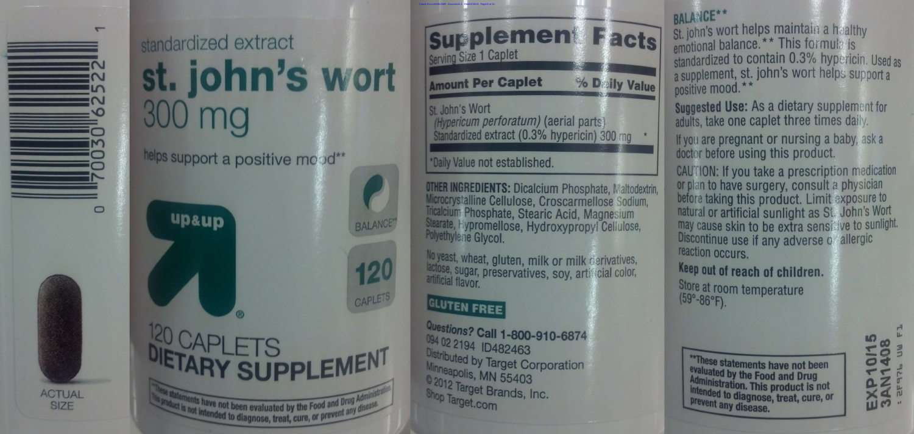

 $\circ$ 

ACTUAL

SIZE





is not intended the evaluated by the Food and Drug Ad product is not intended to diagnose, treat, cure, or prevent any disease.

# st. john's wort

# helps support a positive mo od\*\*



M

CAPLETS





Case4:15-cv-00855-DMR Document1-1 Filed02/25/15 Page10 of 10

No yeast, wheat, gluten, milk or milk cerivatives, lactose, sugar, preservatives, soy, articlial color, artificial flavor.

Questions? Call 1-800-910-6874 094 02 2194 ID482463 Distributed by Target Corporation Minneapolis, MN 55403 02012 Target Brands, Inc. Shop Target.com

# Supplement Serving Size 1 Caplet

# **Amount Per Caplet**

Ist. John's Wort (Hypericum perforatum) (aerial parts) Standardized extract (0.3% hypericin) 300 mg

# \*Daily Value not established.

**OTHER INGREDIENTS: Dicalcium Phosphate, Maltodextrin,** Microcrystalline Cellulose, Croscarmellose Sodium, Tricalcium Phosphate, Stearic Acid, Magnesium Stearate, lypromellose, Hydroxypropyl Cellulose, Polyethylene Glycol.

# GLUTEN FREE

% Daily Value

# BALANCE\*\*

St. john's wort helps maintain a healthy emotional balance. \* \* This formula is standardized to contain 0.3% hypericin. Used as a supplement, st. john's wort helps support a positive mood. \*\*

Suggested Use: As a dietary supplement for adults, take one caplet three times daily.

If you are pregnant or nursing a baby, ask a doctor before using this product.

CAUTION: If you take a prescription medication or plan to have surgery, consult a physician before taking this product. Limit exposure to natural or artificial sunlight as St. John's Wort may cause skin to be extra sensi we to sunlight. Discontinue use if any adverse o allergic reaction occurs.

# Keep out of reach of children.

Store at room temperature  $(59° - 86° F)$ .

"These statements have not been evaluated by the Food and Drug Administration. This product is not<br>intended to diagnose the discussion Intended to diagnose, treat, cure, or **Lexent any disease.** 

**PD**  $0.7$  $250<sup>n</sup>$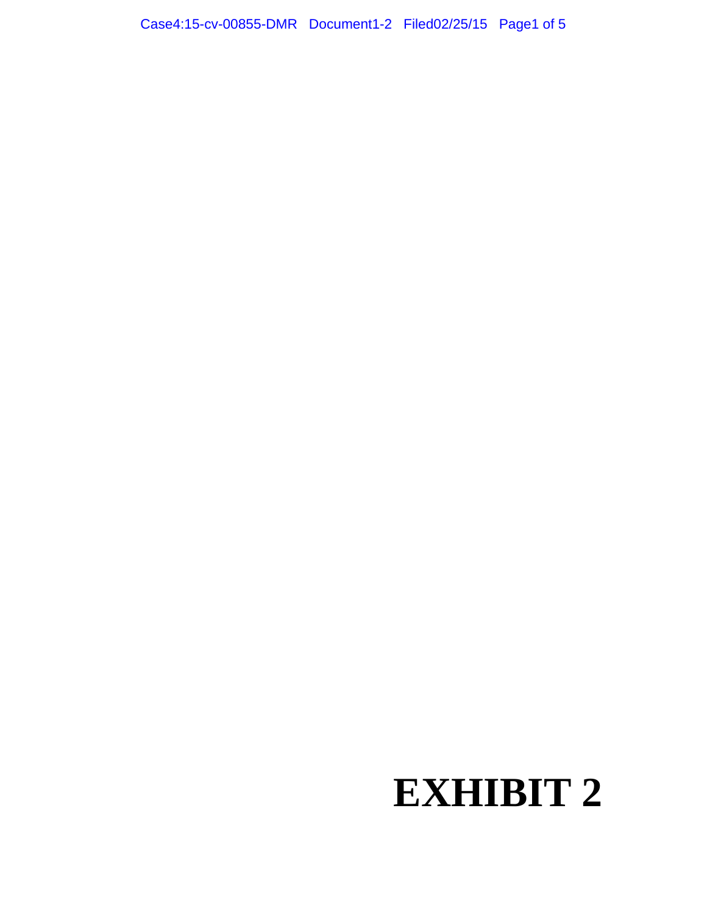# **EXHIBIT 2**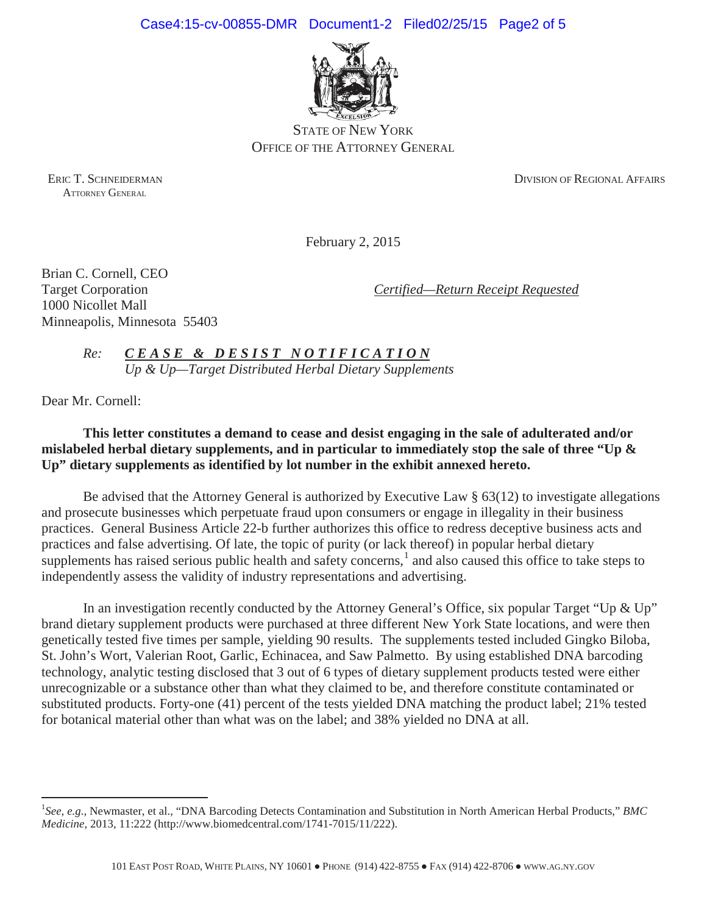

STATE OF NEW YORK OFFICE OF THE ATTORNEY GENERAL

ATTORNEY GENERAL

ERIC T. SCHNEIDERMAN DIVISION OF REGIONAL AFFAIRS

February 2, 2015

Brian C. Cornell, CEO 1000 Nicollet Mall Minneapolis, Minnesota 55403

Target Corporation *Certified—Return Receipt Requested*

*Re: C E A S E & D E S I S T N O T I F I C A T I O N Up & Up—Target Distributed Herbal Dietary Supplements*

Dear Mr. Cornell:

**This letter constitutes a demand to cease and desist engaging in the sale of adulterated and/or mislabeled herbal dietary supplements, and in particular to immediately stop the sale of three "Up & Up" dietary supplements as identified by lot number in the exhibit annexed hereto.**

Be advised that the Attorney General is authorized by Executive Law § 63(12) to investigate allegations and prosecute businesses which perpetuate fraud upon consumers or engage in illegality in their business practices. General Business Article 22-b further authorizes this office to redress deceptive business acts and practices and false advertising. Of late, the topic of purity (or lack thereof) in popular herbal dietary supplements has raised serious public health and safety concerns, $<sup>1</sup>$  and also caused this office to take steps to</sup> independently assess the validity of industry representations and advertising.

In an investigation recently conducted by the Attorney General's Office, six popular Target "Up & Up" brand dietary supplement products were purchased at three different New York State locations, and were then genetically tested five times per sample, yielding 90 results. The supplements tested included Gingko Biloba, St. John's Wort, Valerian Root, Garlic, Echinacea, and Saw Palmetto. By using established DNA barcoding technology, analytic testing disclosed that 3 out of 6 types of dietary supplement products tested were either unrecognizable or a substance other than what they claimed to be, and therefore constitute contaminated or substituted products. Forty-one (41) percent of the tests yielded DNA matching the product label; 21% tested for botanical material other than what was on the label; and 38% yielded no DNA at all.

<sup>&</sup>lt;sup>1</sup>See, e.g., Newmaster, et al., "DNA Barcoding Detects Contamination and Substitution in North American Herbal Products," BMC *Medicine*, 2013, 11:222 (http://www.biomedcentral.com/1741-7015/11/222).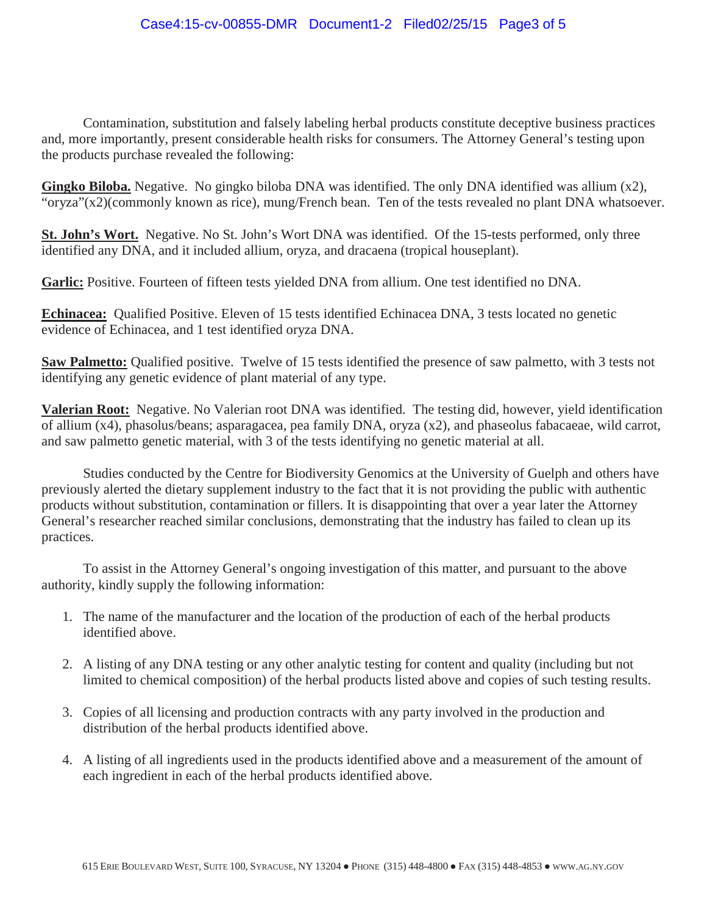Contamination, substitution and falsely labeling herbal products constitute deceptive business practices and, more importantly, present considerable health risks for consumers. The Attorney General's testing upon the products purchase revealed the following:

**Gingko Biloba.** Negative. No gingko biloba DNA was identified. The only DNA identified was allium (x2), "oryza"(x2)(commonly known as rice), mung/French bean. Ten of the tests revealed no plant DNA whatsoever.

**St. John's Wort.** Negative. No St. John's Wort DNA was identified. Of the 15-tests performed, only three identified any DNA, and it included allium, oryza, and dracaena (tropical houseplant).

**Garlic:** Positive. Fourteen of fifteen tests yielded DNA from allium. One test identified no DNA.

**Echinacea:** Qualified Positive. Eleven of 15 tests identified Echinacea DNA, 3 tests located no genetic evidence of Echinacea, and 1 test identified oryza DNA.

**Saw Palmetto:** Qualified positive. Twelve of 15 tests identified the presence of saw palmetto, with 3 tests not identifying any genetic evidence of plant material of any type.

**Valerian Root:** Negative. No Valerian root DNA was identified. The testing did, however, yield identification of allium (x4), phasolus/beans; asparagacea, pea family DNA, oryza (x2), and phaseolus fabacaeae, wild carrot, and saw palmetto genetic material, with 3 of the tests identifying no genetic material at all.

Studies conducted by the Centre for Biodiversity Genomics at the University of Guelph and others have previously alerted the dietary supplement industry to the fact that it is not providing the public with authentic products without substitution, contamination or fillers. It is disappointing that over a year later the Attorney General's researcher reached similar conclusions, demonstrating that the industry has failed to clean up its practices.

To assist in the Attorney General's ongoing investigation of this matter, and pursuant to the above authority, kindly supply the following information:

- 1. The name of the manufacturer and the location of the production of each of the herbal products identified above.
- 2. A listing of any DNA testing or any other analytic testing for content and quality (including but not limited to chemical composition) of the herbal products listed above and copies of such testing results.
- 3. Copies of all licensing and production contracts with any party involved in the production and distribution of the herbal products identified above.
- 4. A listing of all ingredients used in the products identified above and a measurement of the amount of each ingredient in each of the herbal products identified above.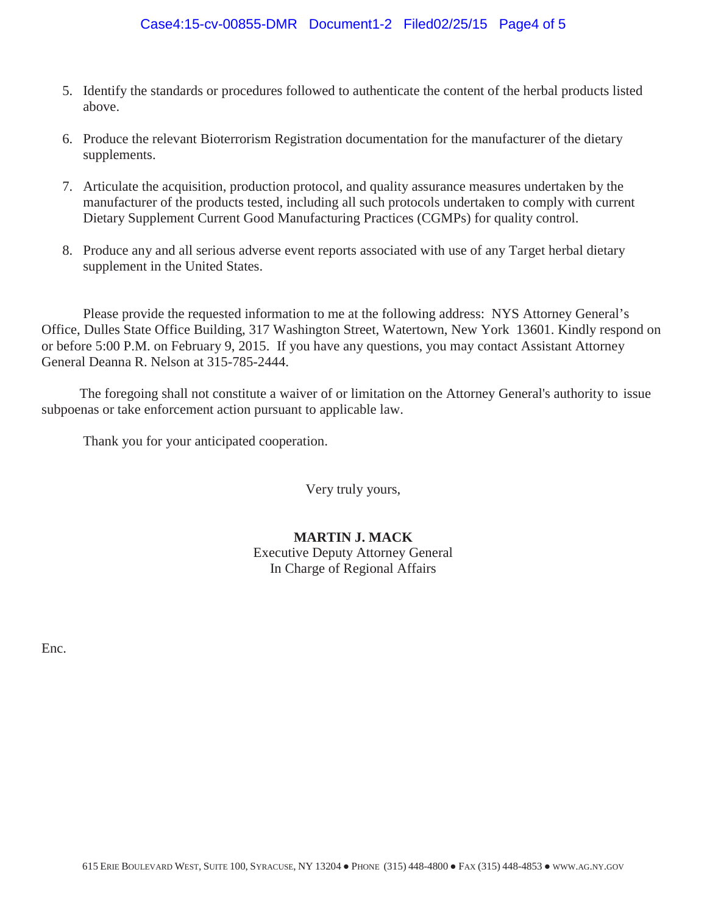# $Case4:15-cv-00855-DMR$  Document1-2 Filed02/25/15 Page4 of 5

- 5. Identify the standards or procedures followed to authenticate the content of the herbal products listed above.
- 6. Produce the relevant Bioterrorism Registration documentation for the manufacturer of the dietary supplements.
- 7. Articulate the acquisition, production protocol, and quality assurance measures undertaken by the manufacturer of the products tested, including all such protocols undertaken to comply with current Dietary Supplement Current Good Manufacturing Practices (CGMPs) for quality control.
- 8. Produce any and all serious adverse event reports associated with use of any Target herbal dietary supplement in the United States.

Please provide the requested information to me at the following address: NYS Attorney General's Office, Dulles State Office Building, 317 Washington Street, Watertown, New York 13601. Kindly respond on or before 5:00 P.M. on February 9, 2015. If you have any questions, you may contact Assistant Attorney General Deanna R. Nelson at 315-785-2444.

The foregoing shall not constitute a waiver of or limitation on the Attorney General's authority to issue subpoenas or take enforcement action pursuant to applicable law.

Thank you for your anticipated cooperation.

Very truly yours,

# **MARTIN J. MACK** Executive Deputy Attorney General In Charge of Regional Affairs

Enc.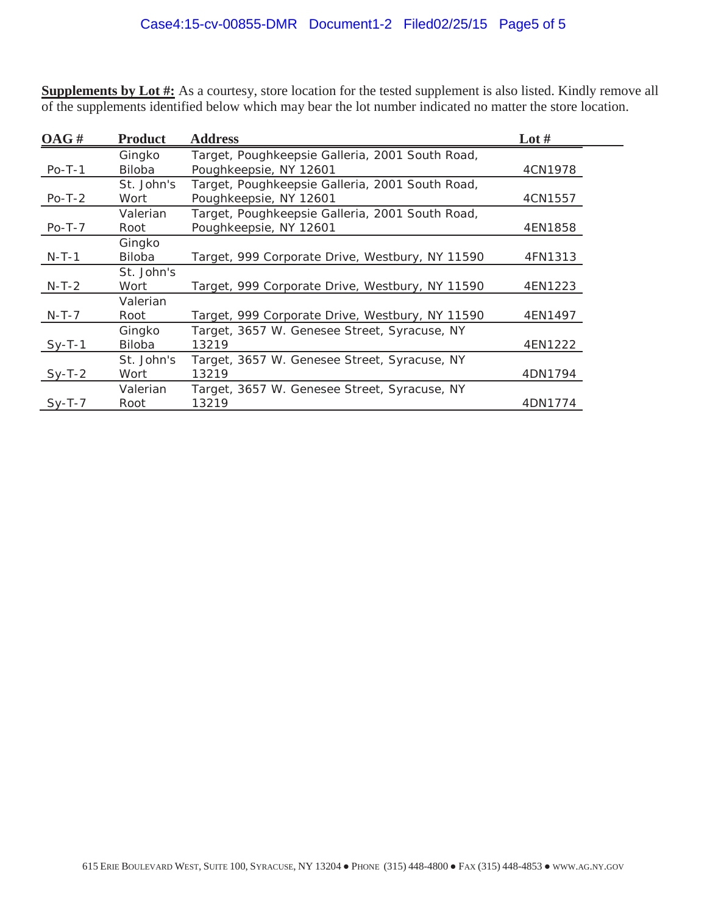**Supplements by Lot #:** As a courtesy, store location for the tested supplement is also listed. Kindly remove all of the supplements identified below which may bear the lot number indicated no matter the store location.

| OAG#     | <b>Product</b>          | <b>Address</b>                                                            | Lot $#$ |
|----------|-------------------------|---------------------------------------------------------------------------|---------|
| $Po-T-1$ | Gingko<br>Biloba        | Target, Poughkeepsie Galleria, 2001 South Road,<br>Poughkeepsie, NY 12601 | 4CN1978 |
| $Po-T-2$ | St. John's<br>Wort      | Target, Poughkeepsie Galleria, 2001 South Road,<br>Poughkeepsie, NY 12601 | 4CN1557 |
| $Po-T-7$ | Valerian<br>Root        | Target, Poughkeepsie Galleria, 2001 South Road,<br>Poughkeepsie, NY 12601 | 4EN1858 |
| $N-T-1$  | Gingko<br>Biloba        | Target, 999 Corporate Drive, Westbury, NY 11590                           | 4FN1313 |
| $N-T-2$  | St. John's<br>Wort      | Target, 999 Corporate Drive, Westbury, NY 11590                           | 4EN1223 |
| $N-T-7$  | Valerian<br>Root        | Target, 999 Corporate Drive, Westbury, NY 11590                           | 4EN1497 |
| $Sy-T-1$ | Gingko<br><b>Biloba</b> | Target, 3657 W. Genesee Street, Syracuse, NY<br>13219                     | 4EN1222 |
| $Sy-T-2$ | St. John's<br>Wort      | Target, 3657 W. Genesee Street, Syracuse, NY<br>13219                     | 4DN1794 |
| $Sy-T-7$ | Valerian<br>Root        | Target, 3657 W. Genesee Street, Syracuse, NY<br>13219                     | 4DN1774 |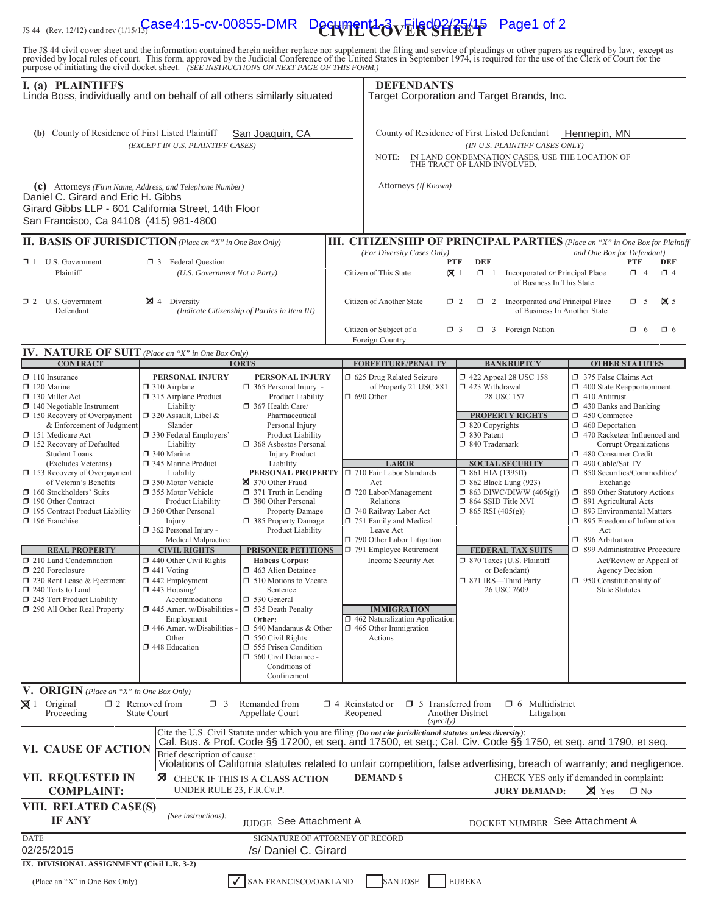# IS 44 (Rev. 12/12) cand rev (1/15/15**/ GSe4:15-cv-00855-DMR** Decrement 2 **3 Filed 22/25/15** Page1 of 2

The JS 44 civil cover sheet and the information contained herein neither replace nor supplement the filing and service of pleadings or other papers as required by law, except as provided by local rules of court. This form,

| I. (a) PLAINTIFFS<br>Linda Boss, individually and on behalf of all others similarly situated                                                                                                                                                                                                                               |                                                                                                                                                                                                                                                                                                                                                                                                                                                                       | <b>DEFENDANTS</b><br>Target Corporation and Target Brands, Inc.                                                                                                       |                                                                                                                                                                                                                                                                                                                                                             |                                                                                                                  |                                                                                                                                                                              |                                                                                                                                                                                                                                                                                                               |                                                                                                                                                 |                           |
|----------------------------------------------------------------------------------------------------------------------------------------------------------------------------------------------------------------------------------------------------------------------------------------------------------------------------|-----------------------------------------------------------------------------------------------------------------------------------------------------------------------------------------------------------------------------------------------------------------------------------------------------------------------------------------------------------------------------------------------------------------------------------------------------------------------|-----------------------------------------------------------------------------------------------------------------------------------------------------------------------|-------------------------------------------------------------------------------------------------------------------------------------------------------------------------------------------------------------------------------------------------------------------------------------------------------------------------------------------------------------|------------------------------------------------------------------------------------------------------------------|------------------------------------------------------------------------------------------------------------------------------------------------------------------------------|---------------------------------------------------------------------------------------------------------------------------------------------------------------------------------------------------------------------------------------------------------------------------------------------------------------|-------------------------------------------------------------------------------------------------------------------------------------------------|---------------------------|
| (b) County of Residence of First Listed Plaintiff<br>San Joaquin, CA<br>(EXCEPT IN U.S. PLAINTIFF CASES)                                                                                                                                                                                                                   |                                                                                                                                                                                                                                                                                                                                                                                                                                                                       |                                                                                                                                                                       | County of Residence of First Listed Defendant<br>Hennepin, MN<br>(IN U.S. PLAINTIFF CASES ONLY)<br>IN LAND CONDEMNATION CASES, USE THE LOCATION OF<br>NOTE:<br>THE TRACT OF LAND INVOLVED.                                                                                                                                                                  |                                                                                                                  |                                                                                                                                                                              |                                                                                                                                                                                                                                                                                                               |                                                                                                                                                 |                           |
| (c) Attorneys (Firm Name, Address, and Telephone Number)<br>Daniel C. Girard and Eric H. Gibbs<br>Girard Gibbs LLP - 601 California Street, 14th Floor<br>San Francisco, Ca 94108 (415) 981-4800                                                                                                                           |                                                                                                                                                                                                                                                                                                                                                                                                                                                                       |                                                                                                                                                                       | Attorneys (If Known)                                                                                                                                                                                                                                                                                                                                        |                                                                                                                  |                                                                                                                                                                              |                                                                                                                                                                                                                                                                                                               |                                                                                                                                                 |                           |
| II. BASIS OF JURISDICTION (Place an "X" in One Box Only)                                                                                                                                                                                                                                                                   |                                                                                                                                                                                                                                                                                                                                                                                                                                                                       |                                                                                                                                                                       | III. CITIZENSHIP OF PRINCIPAL PARTIES (Place an "X" in One Box for Plaintiff                                                                                                                                                                                                                                                                                |                                                                                                                  |                                                                                                                                                                              |                                                                                                                                                                                                                                                                                                               |                                                                                                                                                 |                           |
| $\Box$ 1 U.S. Government<br>Plaintiff                                                                                                                                                                                                                                                                                      | <b>1</b> 3 Federal Question<br>(U.S. Government Not a Party)                                                                                                                                                                                                                                                                                                                                                                                                          |                                                                                                                                                                       | (For Diversity Cases Only)<br>Citizen of This State                                                                                                                                                                                                                                                                                                         | <b>DEF</b><br><b>PTF</b><br>$\mathbf{X}$ 1<br>$\Box$ 1                                                           | Incorporated or Principal Place<br>of Business In This State                                                                                                                 | and One Box for Defendant)                                                                                                                                                                                                                                                                                    | <b>PTF</b><br>$\Box$ 4                                                                                                                          | DEF<br>$\Box$ 4           |
| $\Box$ 2 U.S. Government<br>Defendant                                                                                                                                                                                                                                                                                      | $\boxtimes$ 4 Diversity                                                                                                                                                                                                                                                                                                                                                                                                                                               | (Indicate Citizenship of Parties in Item III)                                                                                                                         | Citizen of Another State                                                                                                                                                                                                                                                                                                                                    | $\Box$ 2<br>$\Box$ 2                                                                                             | Incorporated and Principal Place<br>of Business In Another State                                                                                                             |                                                                                                                                                                                                                                                                                                               | $\Box$ 5                                                                                                                                        | $\overline{\mathbf{X}}$ 5 |
|                                                                                                                                                                                                                                                                                                                            |                                                                                                                                                                                                                                                                                                                                                                                                                                                                       |                                                                                                                                                                       | Citizen or Subject of a<br>Foreign Country                                                                                                                                                                                                                                                                                                                  | $\Box$ 3                                                                                                         | $\Box$ 3 Foreign Nation                                                                                                                                                      |                                                                                                                                                                                                                                                                                                               | $\Box$ 6                                                                                                                                        | $\Box$ 6                  |
| IV. NATURE OF SUIT (Place an "X" in One Box Only)<br><b>CONTRACT</b>                                                                                                                                                                                                                                                       |                                                                                                                                                                                                                                                                                                                                                                                                                                                                       | <b>TORTS</b>                                                                                                                                                          | <b>FORFEITURE/PENALTY</b>                                                                                                                                                                                                                                                                                                                                   |                                                                                                                  | <b>BANKRUPTCY</b>                                                                                                                                                            | <b>OTHER STATUTES</b>                                                                                                                                                                                                                                                                                         |                                                                                                                                                 |                           |
| $\Box$ 110 Insurance<br>$\Box$ 120 Marine<br>130 Miller Act<br>$\Box$ 140 Negotiable Instrument<br>150 Recovery of Overpayment<br>& Enforcement of Judgment<br>151 Medicare Act<br>152 Recovery of Defaulted<br><b>Student Loans</b><br>(Excludes Veterans)<br>$\Box$ 153 Recovery of Overpayment<br>of Veteran's Benefits | PERSONAL INJURY<br>PERSONAL INJURY<br>$\Box$ 310 Airplane<br>365 Personal Injury -<br>315 Airplane Product<br>Product Liability<br>Liability<br>367 Health Care/<br>$\Box$ 320 Assault, Libel &<br>Pharmaceutical<br>Slander<br>Personal Injury<br>□ 330 Federal Employers'<br>Product Liability<br>Liability<br>368 Asbestos Personal<br>340 Marine<br><b>Injury Product</b><br>345 Marine Product<br>Liability<br>Liability<br>350 Motor Vehicle<br>370 Other Fraud |                                                                                                                                                                       | □ 625 Drug Related Seizure<br>of Property 21 USC 881<br>$\Box$ 690 Other<br>$\Box$ 820 Copyrights<br>□ 830 Patent<br>□ 840 Trademark<br><b>LABOR</b><br>PERSONAL PROPERTY □ 710 Fair Labor Standards<br>Act                                                                                                                                                 |                                                                                                                  | $\Box$ 422 Appeal 28 USC 158<br>423 Withdrawal<br>28 USC 157<br><b>PROPERTY RIGHTS</b><br><b>SOCIAL SECURITY</b><br>$\Box$ 861 HIA (1395ff)<br><b>1</b> 862 Black Lung (923) | 375 False Claims Act<br>$\Box$ 400 State Reapportionment<br>$\Box$ 410 Antitrust<br>$\Box$ 430 Banks and Banking<br>450 Commerce<br>$\Box$ 460 Deportation<br>1 470 Racketeer Influenced and<br>Corrupt Organizations<br>480 Consumer Credit<br>490 Cable/Sat TV<br>□ 850 Securities/Commodities/<br>Exchange |                                                                                                                                                 |                           |
| 160 Stockholders' Suits<br>190 Other Contract<br>195 Contract Product Liability<br>196 Franchise                                                                                                                                                                                                                           | 355 Motor Vehicle<br>Product Liability<br>360 Other Personal<br>Injury<br>$\Box$ 362 Personal Injury -<br>Medical Malpractice                                                                                                                                                                                                                                                                                                                                         | 371 Truth in Lending<br>380 Other Personal<br><b>Property Damage</b><br>385 Property Damage<br>Product Liability                                                      | 720 Labor/Management<br>Relations<br>740 Railway Labor Act<br>751 Family and Medical<br>Leave Act<br>790 Other Labor Litigation<br>791 Employee Retirement                                                                                                                                                                                                  | $\Box$ 863 DIWC/DIWW (405(g))<br>$\Box$ 864 SSID Title XVI<br>$\Box$ 865 RSI (405(g))                            |                                                                                                                                                                              | 1 890 Other Statutory Actions<br>$\Box$ 891 Agricultural Acts<br>□ 893 Environmental Matters<br>□ 895 Freedom of Information<br>Act<br>$\Box$ 896 Arbitration                                                                                                                                                 |                                                                                                                                                 |                           |
| <b>REAL PROPERTY</b><br>$\Box$ 210 Land Condemnation<br>$\Box$ 220 Foreclosure<br>$\Box$ 230 Rent Lease & Ejectment<br>240 Torts to Land<br>245 Tort Product Liability                                                                                                                                                     | <b>CIVIL RIGHTS</b><br>$\Box$ 440 Other Civil Rights<br>$\Box$ 441 Voting<br>442 Employment<br>$\Box$ 443 Housing/<br>Accommodations                                                                                                                                                                                                                                                                                                                                  | PRISONER PETITIONS<br><b>Habeas Corpus:</b><br>1463 Alien Detainee<br><b>J</b> 510 Motions to Vacate<br>Sentence<br>530 General                                       | Income Security Act                                                                                                                                                                                                                                                                                                                                         | <b>FEDERAL TAX SUITS</b><br>7 870 Taxes (U.S. Plaintiff<br>or Defendant)<br>□ 871 IRS-Third Party<br>26 USC 7609 |                                                                                                                                                                              |                                                                                                                                                                                                                                                                                                               | 1 899 Administrative Procedure<br>Act/Review or Appeal of<br><b>Agency Decision</b><br>$\Box$ 950 Constitutionality of<br><b>State Statutes</b> |                           |
| 290 All Other Real Property                                                                                                                                                                                                                                                                                                | $\Box$ 445 Amer. w/Disabilities -<br>Employment<br>446 Amer. w/Disabilities<br>Other<br>448 Education                                                                                                                                                                                                                                                                                                                                                                 | 535 Death Penalty<br>Other:<br>$\Box$ 540 Mandamus & Other<br>$\Box$ 550 Civil Rights<br>555 Prison Condition<br>560 Civil Detainee -<br>Conditions of<br>Confinement | <b>IMMIGRATION</b><br>$\Box$ 462 Naturalization Application<br>$\Box$ 465 Other Immigration<br>Actions                                                                                                                                                                                                                                                      |                                                                                                                  |                                                                                                                                                                              |                                                                                                                                                                                                                                                                                                               |                                                                                                                                                 |                           |
| V. ORIGIN (Place an "X" in One Box Only)<br>$\boxtimes$ 1 Original<br>Proceeding                                                                                                                                                                                                                                           | $\Box$ 2 Removed from<br>$\Box$ 3<br><b>State Court</b>                                                                                                                                                                                                                                                                                                                                                                                                               | Remanded from<br>Appellate Court                                                                                                                                      | $\Box$ 5 Transferred from<br>$\Box$ 4 Reinstated or<br>Reopened<br>(specify)                                                                                                                                                                                                                                                                                | Another District                                                                                                 | Multidistrict<br>$\Box$ 6<br>Litigation                                                                                                                                      |                                                                                                                                                                                                                                                                                                               |                                                                                                                                                 |                           |
| VI. CAUSE OF ACTION                                                                                                                                                                                                                                                                                                        | Brief description of cause:                                                                                                                                                                                                                                                                                                                                                                                                                                           |                                                                                                                                                                       | Cite the U.S. Civil Statute under which you are filing (Do not cite jurisdictional statutes unless diversity):<br>Cal. Bus. & Prof. Code §§ 17200, et seq. and 17500, et seq.; Cal. Civ. Code §§ 1750, et seq. and 1790, et seq.<br>Violations of California statutes related to unfair competition, false advertising, breach of warranty; and negligence. |                                                                                                                  |                                                                                                                                                                              |                                                                                                                                                                                                                                                                                                               |                                                                                                                                                 |                           |
| VII. REQUESTED IN<br><b>COMPLAINT:</b>                                                                                                                                                                                                                                                                                     | ⊠<br>UNDER RULE 23, F.R.Cv.P.                                                                                                                                                                                                                                                                                                                                                                                                                                         | <b>CHECK IF THIS IS A CLASS ACTION</b>                                                                                                                                | <b>DEMAND \$</b>                                                                                                                                                                                                                                                                                                                                            |                                                                                                                  | CHECK YES only if demanded in complaint:<br><b>JURY DEMAND:</b>                                                                                                              | $\times$ Yes                                                                                                                                                                                                                                                                                                  | $\Box$ No                                                                                                                                       |                           |
| VIII. RELATED CASE(S)<br><b>IF ANY</b>                                                                                                                                                                                                                                                                                     | (See instructions):                                                                                                                                                                                                                                                                                                                                                                                                                                                   | JUDGE See Attachment A                                                                                                                                                |                                                                                                                                                                                                                                                                                                                                                             |                                                                                                                  | <b>DOCKET NUMBER</b>                                                                                                                                                         | See Attachment A                                                                                                                                                                                                                                                                                              |                                                                                                                                                 |                           |
| <b>DATE</b><br>02/25/2015<br>IX. DIVISIONAL ASSIGNMENT (Civil L.R. 3-2)                                                                                                                                                                                                                                                    |                                                                                                                                                                                                                                                                                                                                                                                                                                                                       | <b>SIGNATURE OF ATTORNEY OF RECORD</b><br>/s/ Daniel C. Girard                                                                                                        |                                                                                                                                                                                                                                                                                                                                                             |                                                                                                                  |                                                                                                                                                                              |                                                                                                                                                                                                                                                                                                               |                                                                                                                                                 |                           |
| (Place an "X" in One Box Only)                                                                                                                                                                                                                                                                                             |                                                                                                                                                                                                                                                                                                                                                                                                                                                                       | SAN FRANCISCO/OAKLAND                                                                                                                                                 | <b>SAN JOSE</b>                                                                                                                                                                                                                                                                                                                                             | <b>EUREKA</b>                                                                                                    |                                                                                                                                                                              |                                                                                                                                                                                                                                                                                                               |                                                                                                                                                 |                           |